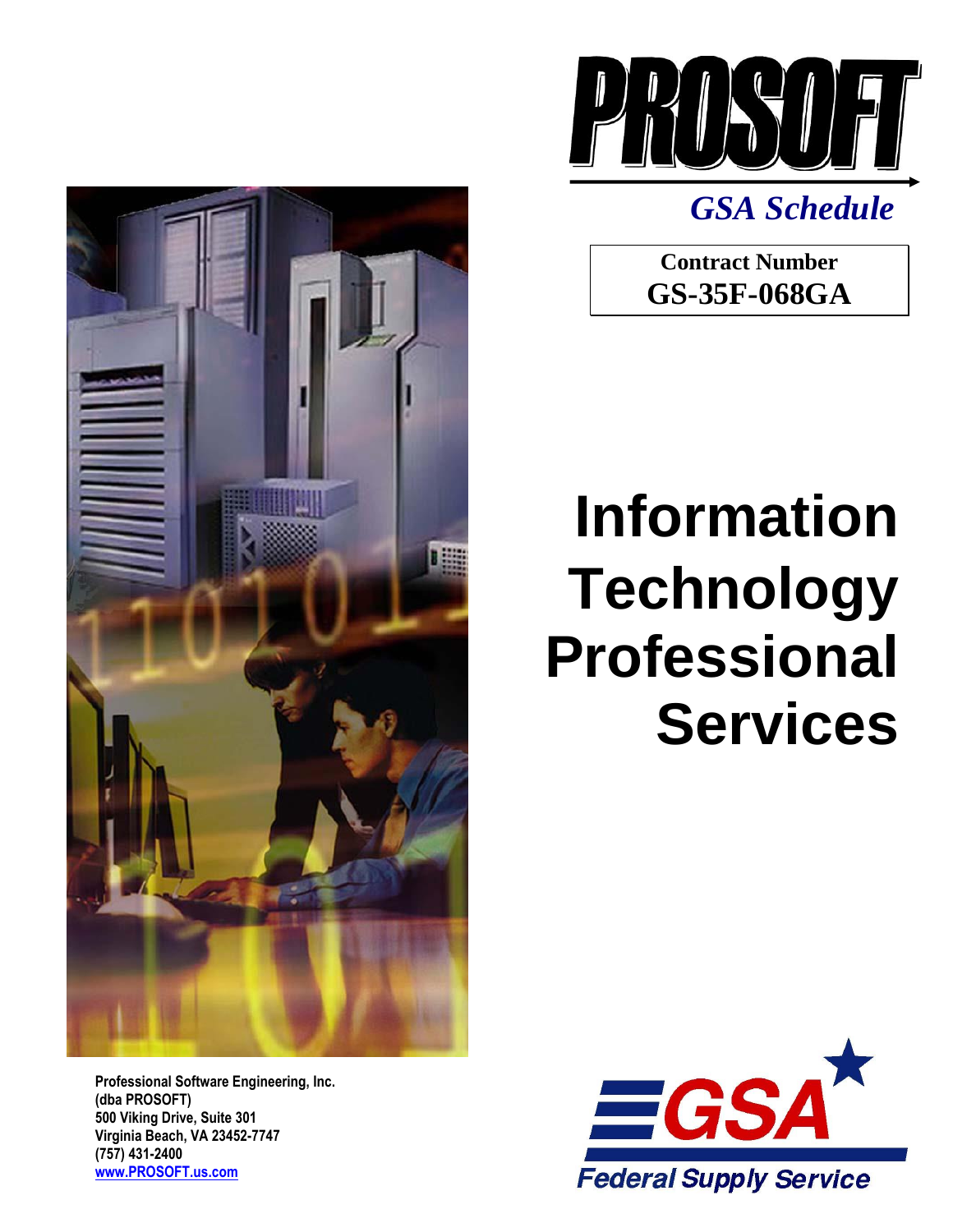



*GSA Schedule*

**Contract Number GS-35F-068GA**

# **Information Technology Professional Services**

**Professional Software Engineering, Inc. (dba PROSOFT) 500 Viking Drive, Suite 301 Virginia Beach, VA 23452-7747 (757) 431-2400 [www.PROSOFT.us.com](http://www.prosoft.us.com/)**

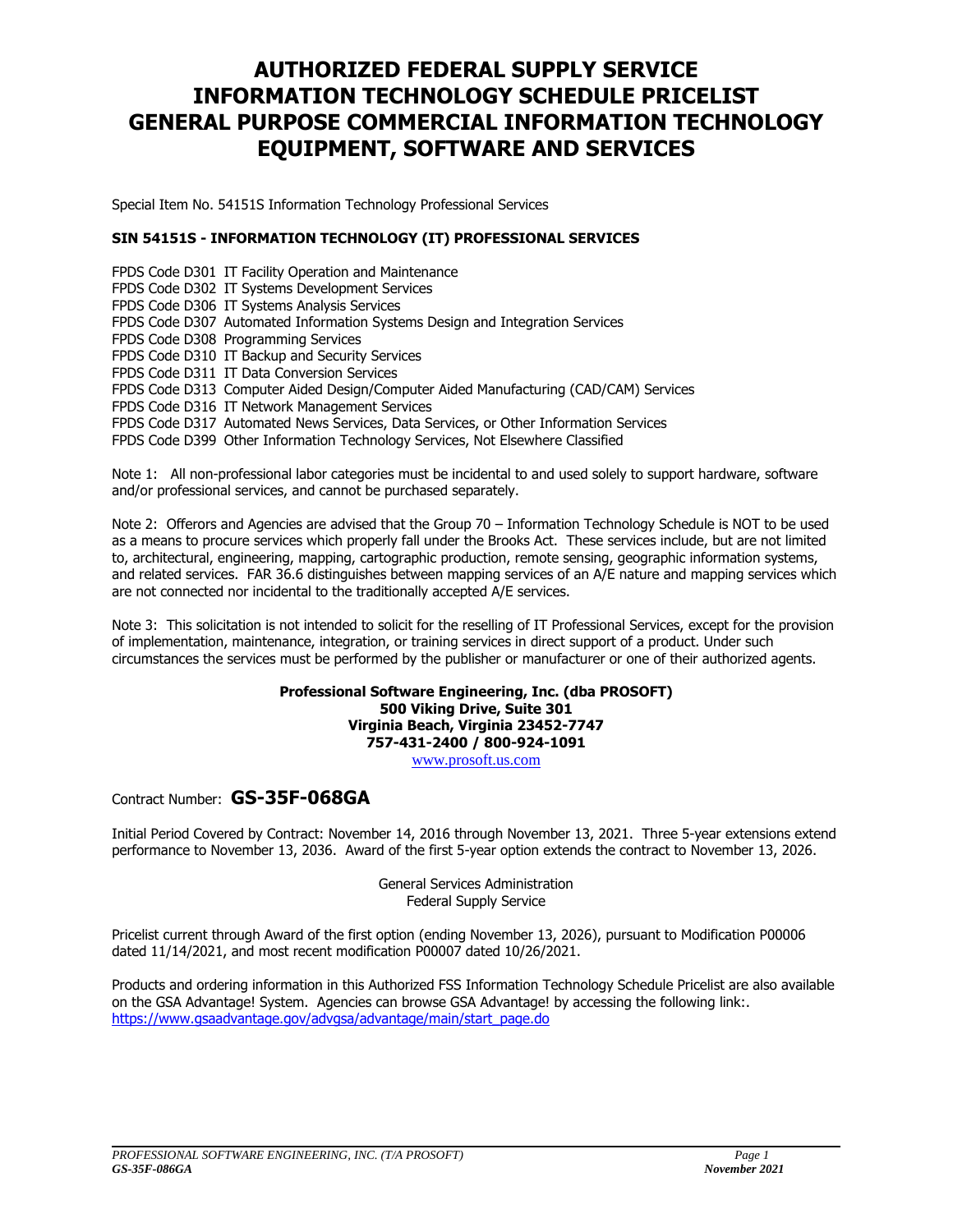### **AUTHORIZED FEDERAL SUPPLY SERVICE INFORMATION TECHNOLOGY SCHEDULE PRICELIST GENERAL PURPOSE COMMERCIAL INFORMATION TECHNOLOGY EQUIPMENT, SOFTWARE AND SERVICES**

Special Item No. 54151S Information Technology Professional Services

### **SIN 54151S - INFORMATION TECHNOLOGY (IT) PROFESSIONAL SERVICES**

FPDS Code D301 IT Facility Operation and Maintenance FPDS Code D302 IT Systems Development Services FPDS Code D306 IT Systems Analysis Services FPDS Code D307 Automated Information Systems Design and Integration Services FPDS Code D308 Programming Services FPDS Code D310 IT Backup and Security Services FPDS Code D311 IT Data Conversion Services FPDS Code D313 Computer Aided Design/Computer Aided Manufacturing (CAD/CAM) Services FPDS Code D316 IT Network Management Services FPDS Code D317 Automated News Services, Data Services, or Other Information Services FPDS Code D399 Other Information Technology Services, Not Elsewhere Classified

Note 1: All non-professional labor categories must be incidental to and used solely to support hardware, software and/or professional services, and cannot be purchased separately.

Note 2: Offerors and Agencies are advised that the Group 70 – Information Technology Schedule is NOT to be used as a means to procure services which properly fall under the Brooks Act. These services include, but are not limited to, architectural, engineering, mapping, cartographic production, remote sensing, geographic information systems, and related services. FAR 36.6 distinguishes between mapping services of an A/E nature and mapping services which are not connected nor incidental to the traditionally accepted A/E services.

Note 3: This solicitation is not intended to solicit for the reselling of IT Professional Services, except for the provision of implementation, maintenance, integration, or training services in direct support of a product. Under such circumstances the services must be performed by the publisher or manufacturer or one of their authorized agents.

> **Professional Software Engineering, Inc. (dba PROSOFT) 500 Viking Drive, Suite 301 Virginia Beach, Virginia 23452-7747 757-431-2400 / 800-92[4-1091](file://///Prosoft-vb-03/GSA%20Schedule/www.PROSOFT-eng.com)** [www.prosoft.us.com](http://www.prosoft.us.com/)

Contract Number: **GS-35F-068GA**

Initial Period Covered by Contract: November 14, 2016 through November 13, 2021. Three 5-year extensions extend performance to November 13, 2036. Award of the first 5-year option extends the contract to November 13, 2026.

> General Services Administration Federal Supply Service

Pricelist current through Award of the first option (ending November 13, 2026), pursuant to Modification P00006 dated 11/14/2021, and most recent modification P00007 dated 10/26/2021.

Products and ordering information in this Authorized FSS Information Technology Schedule Pricelist are also available on the GSA Advantage! System. Agencies can browse GSA Advantage! by accessing the following link:. [https://www.gsaadvantage.gov/advgsa/advantage/main/start\\_page.do](https://www.gsaadvantage.gov/advgsa/advantage/main/start_page.do)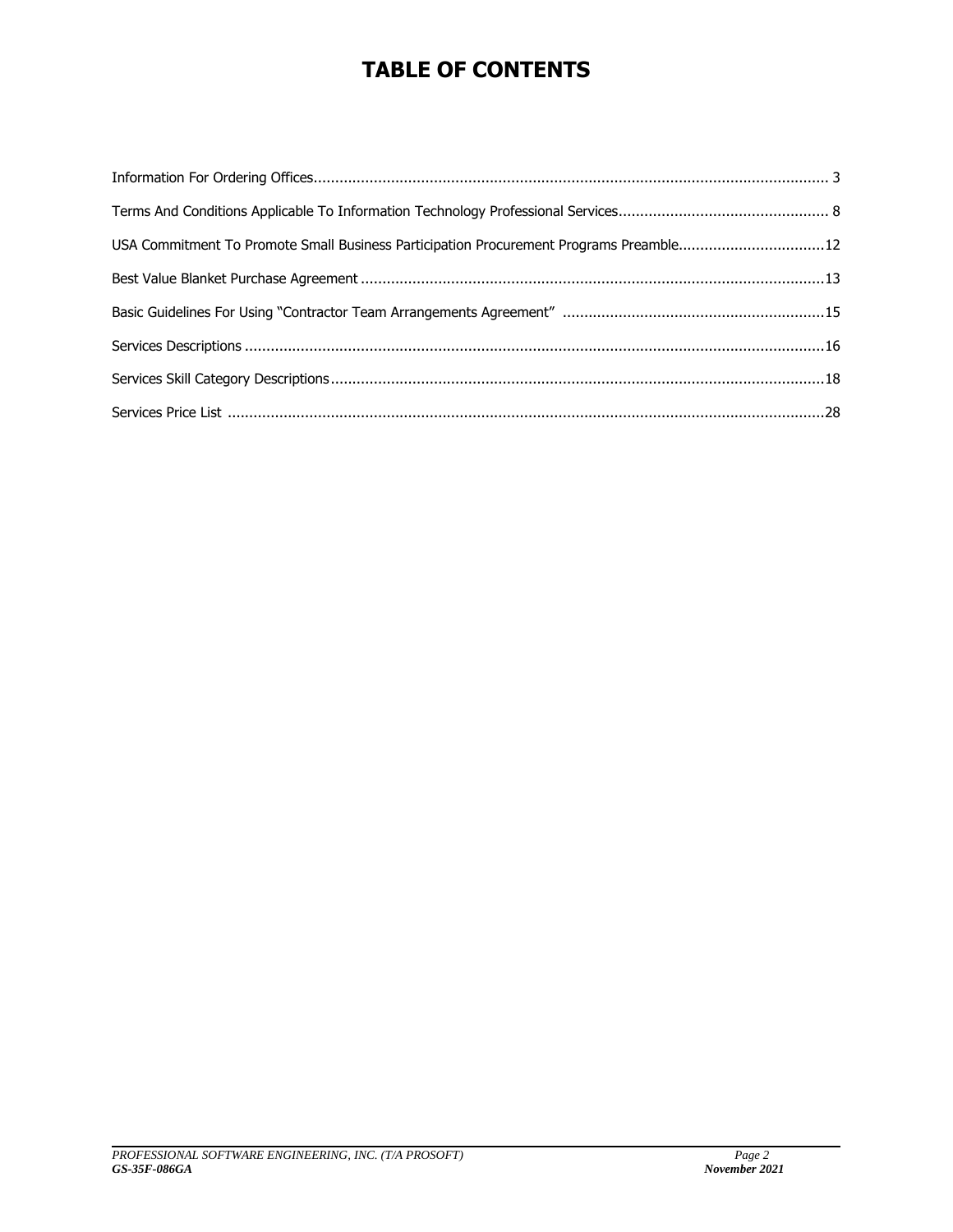# **TABLE OF CONTENTS**

| USA Commitment To Promote Small Business Participation Procurement Programs Preamble12 |  |
|----------------------------------------------------------------------------------------|--|
|                                                                                        |  |
|                                                                                        |  |
|                                                                                        |  |
|                                                                                        |  |
|                                                                                        |  |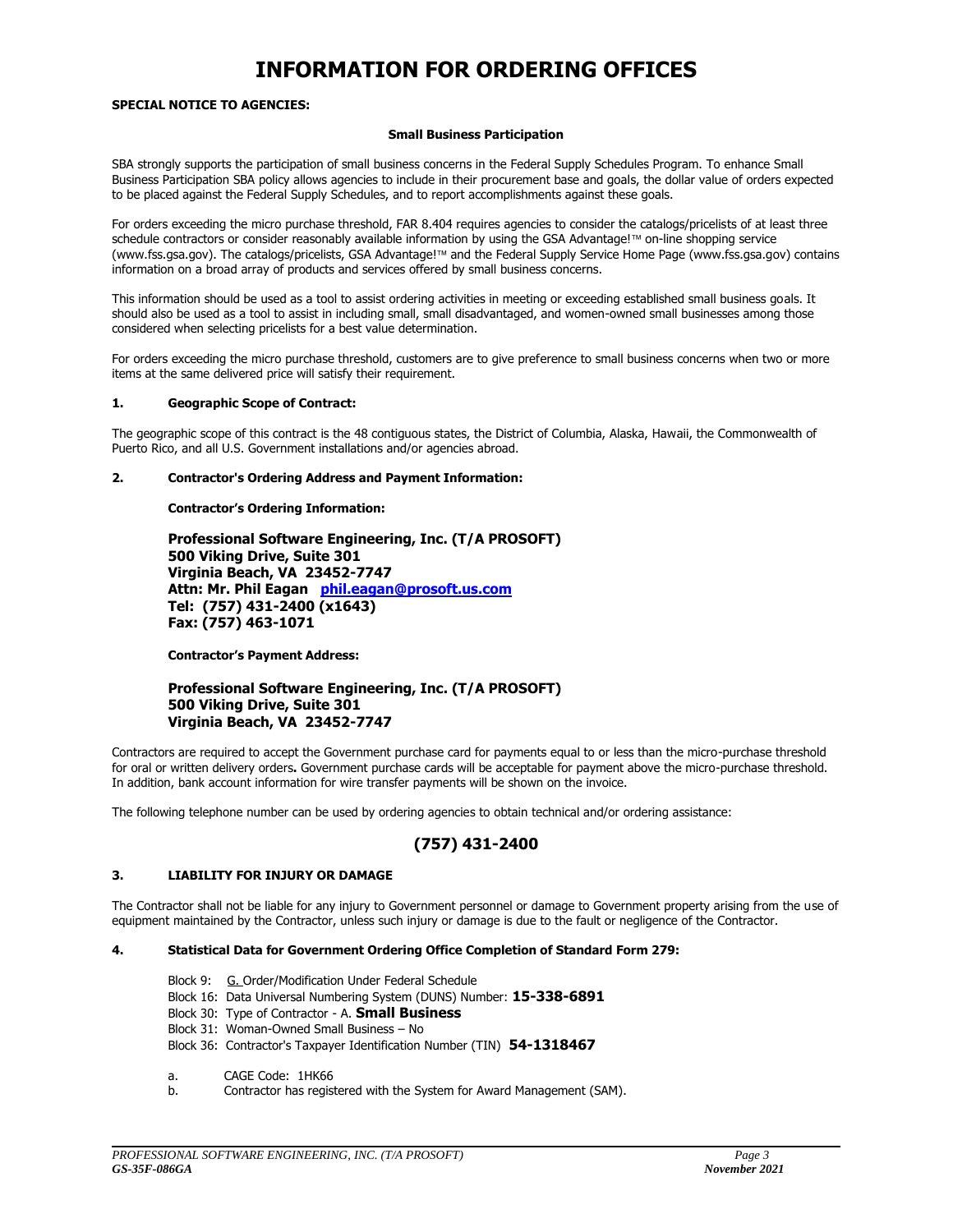## **INFORMATION FOR ORDERING OFFICES**

### **SPECIAL NOTICE TO AGENCIES:**

#### **Small Business Participation**

SBA strongly supports the participation of small business concerns in the Federal Supply Schedules Program. To enhance Small Business Participation SBA policy allows agencies to include in their procurement base and goals, the dollar value of orders expected to be placed against the Federal Supply Schedules, and to report accomplishments against these goals.

For orders exceeding the micro purchase threshold, FAR 8.404 requires agencies to consider the catalogs/pricelists of at least three schedule contractors or consider reasonably available information by using the GSA Advantage!™ on-line shopping service (www.fss.gsa.gov). The catalogs/pricelists, GSA Advantage!™ and the Federal Supply Service Home Page (www.fss.gsa.gov) contains information on a broad array of products and services offered by small business concerns.

This information should be used as a tool to assist ordering activities in meeting or exceeding established small business goals. It should also be used as a tool to assist in including small, small disadvantaged, and women-owned small businesses among those considered when selecting pricelists for a best value determination.

For orders exceeding the micro purchase threshold, customers are to give preference to small business concerns when two or more items at the same delivered price will satisfy their requirement.

#### **1. Geographic Scope of Contract:**

The geographic scope of this contract is the 48 contiguous states, the District of Columbia, Alaska, Hawaii, the Commonwealth of Puerto Rico, and all U.S. Government installations and/or agencies abroad.

#### **2. Contractor's Ordering Address and Payment Information:**

#### **Contractor's Ordering Information:**

**Professional Software Engineering, Inc. (T/A PROSOFT) 500 Viking Drive, Suite 301 Virginia Beach, VA 23452-7747 Attn: Mr. Phil Eagan [phil.eagan@prosoft.us.com](mailto:phil.eagan@prosoft.us.com) Tel: (757) 431-2400 (x1643) Fax: (757) 463-1071**

**Contractor's Payment Address:**

### **Professional Software Engineering, Inc. (T/A PROSOFT) 500 Viking Drive, Suite 301 Virginia Beach, VA 23452-7747**

Contractors are required to accept the Government purchase card for payments equal to or less than the micro-purchase threshold for oral or written delivery orders**.** Government purchase cards will be acceptable for payment above the micro-purchase threshold. In addition, bank account information for wire transfer payments will be shown on the invoice.

The following telephone number can be used by ordering agencies to obtain technical and/or ordering assistance:

### **(757) 431-2400**

#### **3. LIABILITY FOR INJURY OR DAMAGE**

The Contractor shall not be liable for any injury to Government personnel or damage to Government property arising from the use of equipment maintained by the Contractor, unless such injury or damage is due to the fault or negligence of the Contractor.

### **4. Statistical Data for Government Ordering Office Completion of Standard Form 279:**

- Block 9: G. Order/Modification Under Federal Schedule
- Block 16: Data Universal Numbering System (DUNS) Number: **15-338-6891**
- Block 30: Type of Contractor A. **Small Business**
- Block 31: Woman-Owned Small Business No
- Block 36: Contractor's Taxpayer Identification Number (TIN) **54-1318467**
- a. CAGE Code: 1HK66
- b. Contractor has registered with the System for Award Management (SAM).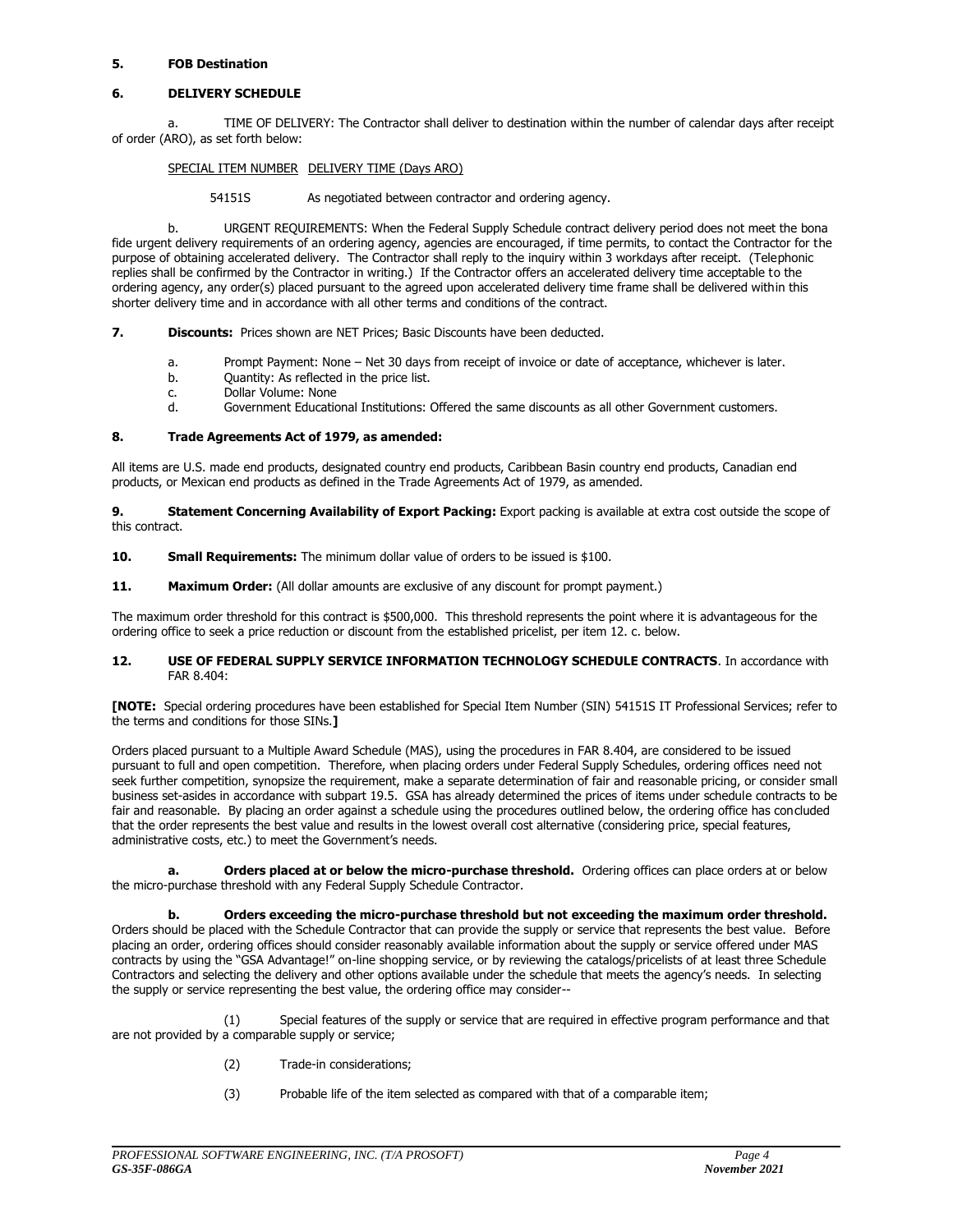### **5. FOB Destination**

### **6. DELIVERY SCHEDULE**

a. TIME OF DELIVERY: The Contractor shall deliver to destination within the number of calendar days after receipt of order (ARO), as set forth below:

### SPECIAL ITEM NUMBER DELIVERY TIME (Days ARO)

54151S As negotiated between contractor and ordering agency.

b. URGENT REQUIREMENTS: When the Federal Supply Schedule contract delivery period does not meet the bona fide urgent delivery requirements of an ordering agency, agencies are encouraged, if time permits, to contact the Contractor for the purpose of obtaining accelerated delivery. The Contractor shall reply to the inquiry within 3 workdays after receipt. (Telephonic replies shall be confirmed by the Contractor in writing.) If the Contractor offers an accelerated delivery time acceptable to the ordering agency, any order(s) placed pursuant to the agreed upon accelerated delivery time frame shall be delivered within this shorter delivery time and in accordance with all other terms and conditions of the contract.

**7. Discounts:** Prices shown are NET Prices; Basic Discounts have been deducted.

- a. Prompt Payment: None Net 30 days from receipt of invoice or date of acceptance, whichever is later.
- b. Quantity: As reflected in the price list.
- c. Dollar Volume: None
- d. Government Educational Institutions: Offered the same discounts as all other Government customers.

### **8. Trade Agreements Act of 1979, as amended:**

All items are U.S. made end products, designated country end products, Caribbean Basin country end products, Canadian end products, or Mexican end products as defined in the Trade Agreements Act of 1979, as amended.

**9. Statement Concerning Availability of Export Packing:** Export packing is available at extra cost outside the scope of this contract.

**10. Small Requirements:** The minimum dollar value of orders to be issued is \$100.

**11. Maximum Order:** (All dollar amounts are exclusive of any discount for prompt payment.)

The maximum order threshold for this contract is \$500,000. This threshold represents the point where it is advantageous for the ordering office to seek a price reduction or discount from the established pricelist, per item 12. c. below.

#### **12. USE OF FEDERAL SUPPLY SERVICE INFORMATION TECHNOLOGY SCHEDULE CONTRACTS**. In accordance with FAR 8.404:

**[NOTE:** Special ordering procedures have been established for Special Item Number (SIN) 54151S IT Professional Services; refer to the terms and conditions for those SINs.**]**

Orders placed pursuant to a Multiple Award Schedule (MAS), using the procedures in FAR 8.404, are considered to be issued pursuant to full and open competition. Therefore, when placing orders under Federal Supply Schedules, ordering offices need not seek further competition, synopsize the requirement, make a separate determination of fair and reasonable pricing, or consider small business set-asides in accordance with subpart 19.5. GSA has already determined the prices of items under schedule contracts to be fair and reasonable. By placing an order against a schedule using the procedures outlined below, the ordering office has concluded that the order represents the best value and results in the lowest overall cost alternative (considering price, special features, administrative costs, etc.) to meet the Government's needs.

**a. Orders placed at or below the micro-purchase threshold.** Ordering offices can place orders at or below the micro-purchase threshold with any Federal Supply Schedule Contractor.

**b. Orders exceeding the micro-purchase threshold but not exceeding the maximum order threshold.** Orders should be placed with the Schedule Contractor that can provide the supply or service that represents the best value. Before placing an order, ordering offices should consider reasonably available information about the supply or service offered under MAS contracts by using the "GSA Advantage!" on-line shopping service, or by reviewing the catalogs/pricelists of at least three Schedule Contractors and selecting the delivery and other options available under the schedule that meets the agency's needs. In selecting the supply or service representing the best value, the ordering office may consider--

(1) Special features of the supply or service that are required in effective program performance and that are not provided by a comparable supply or service;

- (2) Trade-in considerations;
- (3) Probable life of the item selected as compared with that of a comparable item;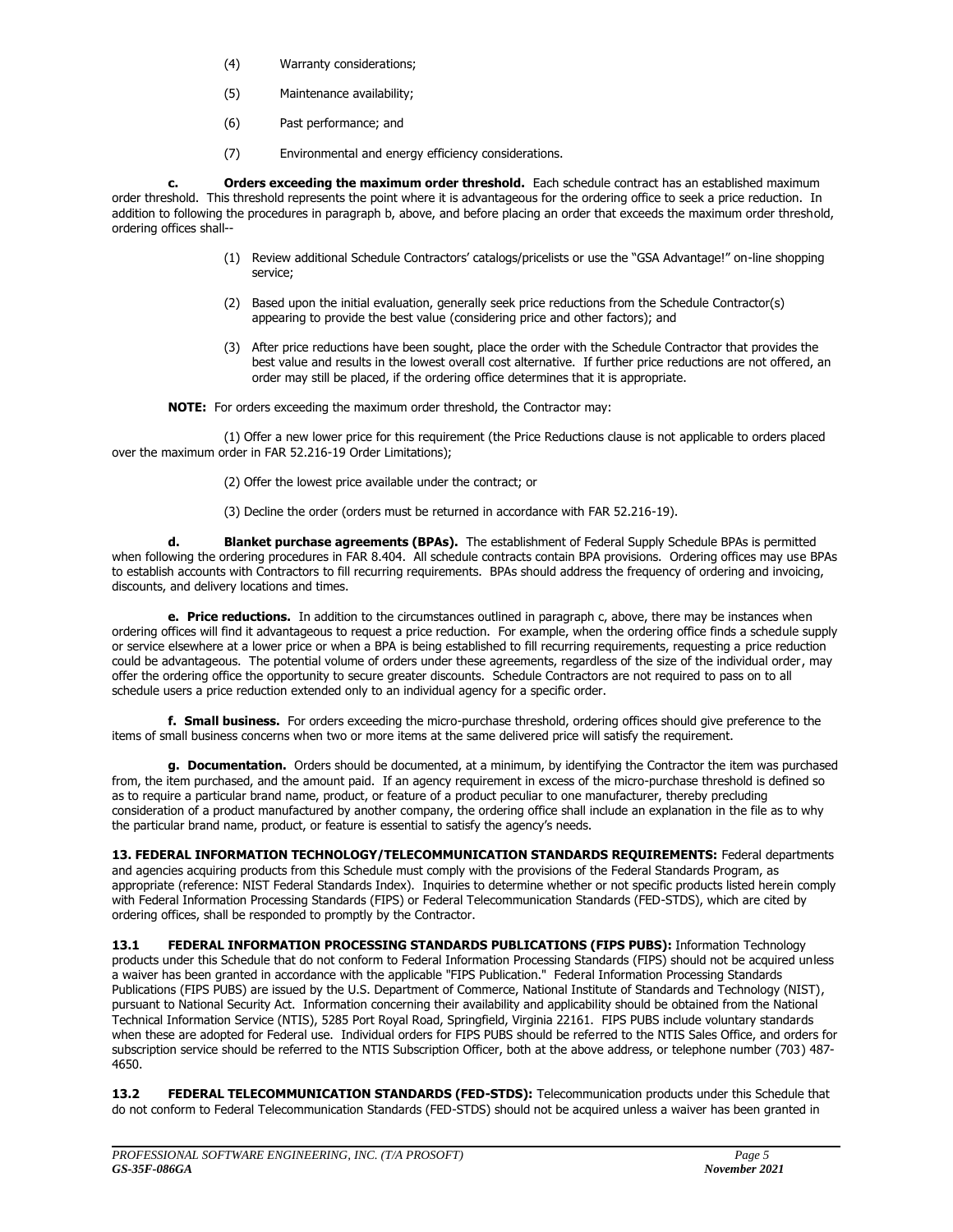- (4) Warranty considerations;
- (5) Maintenance availability;
- (6) Past performance; and
- (7) Environmental and energy efficiency considerations.

**c. Orders exceeding the maximum order threshold.** Each schedule contract has an established maximum order threshold. This threshold represents the point where it is advantageous for the ordering office to seek a price reduction. In addition to following the procedures in paragraph b, above, and before placing an order that exceeds the maximum order threshold, ordering offices shall--

- (1) Review additional Schedule Contractors' catalogs/pricelists or use the "GSA Advantage!" on-line shopping service;
- (2) Based upon the initial evaluation, generally seek price reductions from the Schedule Contractor(s) appearing to provide the best value (considering price and other factors); and
- (3) After price reductions have been sought, place the order with the Schedule Contractor that provides the best value and results in the lowest overall cost alternative. If further price reductions are not offered, an order may still be placed, if the ordering office determines that it is appropriate.

**NOTE:** For orders exceeding the maximum order threshold, the Contractor may:

(1) Offer a new lower price for this requirement (the Price Reductions clause is not applicable to orders placed over the maximum order in FAR 52.216-19 Order Limitations);

(2) Offer the lowest price available under the contract; or

(3) Decline the order (orders must be returned in accordance with FAR 52.216-19).

**d. Blanket purchase agreements (BPAs).** The establishment of Federal Supply Schedule BPAs is permitted when following the ordering procedures in FAR 8.404. All schedule contracts contain BPA provisions. Ordering offices may use BPAs to establish accounts with Contractors to fill recurring requirements. BPAs should address the frequency of ordering and invoicing, discounts, and delivery locations and times.

**e. Price reductions.** In addition to the circumstances outlined in paragraph c, above, there may be instances when ordering offices will find it advantageous to request a price reduction. For example, when the ordering office finds a schedule supply or service elsewhere at a lower price or when a BPA is being established to fill recurring requirements, requesting a price reduction could be advantageous. The potential volume of orders under these agreements, regardless of the size of the individual order, may offer the ordering office the opportunity to secure greater discounts. Schedule Contractors are not required to pass on to all schedule users a price reduction extended only to an individual agency for a specific order.

**f. Small business.** For orders exceeding the micro-purchase threshold, ordering offices should give preference to the items of small business concerns when two or more items at the same delivered price will satisfy the requirement.

**g. Documentation.** Orders should be documented, at a minimum, by identifying the Contractor the item was purchased from, the item purchased, and the amount paid. If an agency requirement in excess of the micro-purchase threshold is defined so as to require a particular brand name, product, or feature of a product peculiar to one manufacturer, thereby precluding consideration of a product manufactured by another company, the ordering office shall include an explanation in the file as to why the particular brand name, product, or feature is essential to satisfy the agency's needs.

**13. FEDERAL INFORMATION TECHNOLOGY/TELECOMMUNICATION STANDARDS REQUIREMENTS:** Federal departments and agencies acquiring products from this Schedule must comply with the provisions of the Federal Standards Program, as appropriate (reference: NIST Federal Standards Index). Inquiries to determine whether or not specific products listed herein comply with Federal Information Processing Standards (FIPS) or Federal Telecommunication Standards (FED-STDS), which are cited by ordering offices, shall be responded to promptly by the Contractor.

**13.1 FEDERAL INFORMATION PROCESSING STANDARDS PUBLICATIONS (FIPS PUBS):** Information Technology products under this Schedule that do not conform to Federal Information Processing Standards (FIPS) should not be acquired unless a waiver has been granted in accordance with the applicable "FIPS Publication." Federal Information Processing Standards Publications (FIPS PUBS) are issued by the U.S. Department of Commerce, National Institute of Standards and Technology (NIST), pursuant to National Security Act. Information concerning their availability and applicability should be obtained from the National Technical Information Service (NTIS), 5285 Port Royal Road, Springfield, Virginia 22161. FIPS PUBS include voluntary standards when these are adopted for Federal use. Individual orders for FIPS PUBS should be referred to the NTIS Sales Office, and orders for subscription service should be referred to the NTIS Subscription Officer, both at the above address, or telephone number (703) 487- 4650.

**13.2 FEDERAL TELECOMMUNICATION STANDARDS (FED-STDS):** Telecommunication products under this Schedule that do not conform to Federal Telecommunication Standards (FED-STDS) should not be acquired unless a waiver has been granted in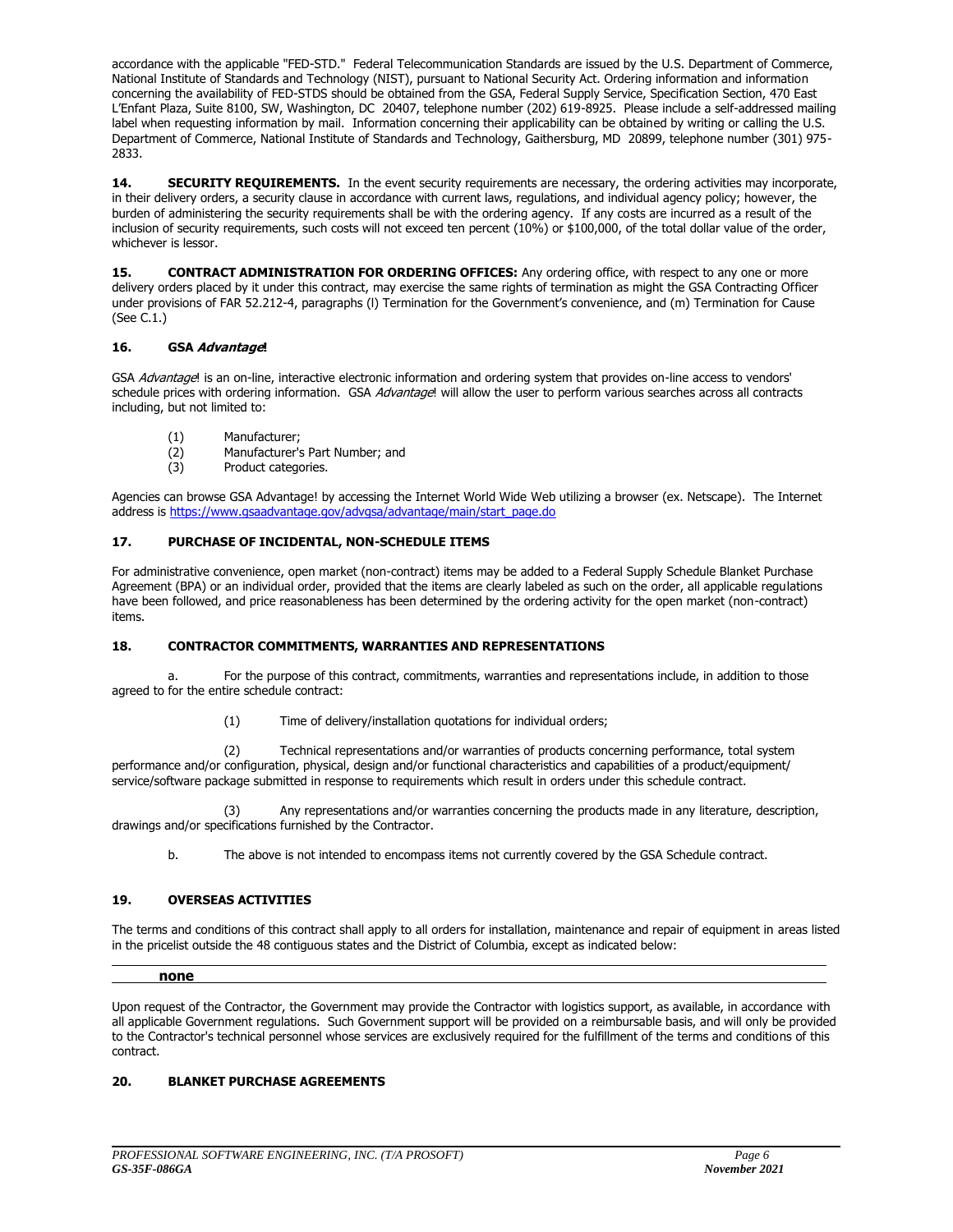accordance with the applicable "FED-STD." Federal Telecommunication Standards are issued by the U.S. Department of Commerce, National Institute of Standards and Technology (NIST), pursuant to National Security Act. Ordering information and information concerning the availability of FED-STDS should be obtained from the GSA, Federal Supply Service, Specification Section, 470 East L'Enfant Plaza, Suite 8100, SW, Washington, DC 20407, telephone number (202) 619-8925. Please include a self-addressed mailing label when requesting information by mail. Information concerning their applicability can be obtained by writing or calling the U.S. Department of Commerce, National Institute of Standards and Technology, Gaithersburg, MD 20899, telephone number (301) 975- 2833.

**14. SECURITY REQUIREMENTS.** In the event security requirements are necessary, the ordering activities may incorporate, in their delivery orders, a security clause in accordance with current laws, regulations, and individual agency policy; however, the burden of administering the security requirements shall be with the ordering agency. If any costs are incurred as a result of the inclusion of security requirements, such costs will not exceed ten percent (10%) or \$100,000, of the total dollar value of the order, whichever is lessor.

15. **CONTRACT ADMINISTRATION FOR ORDERING OFFICES:** Any ordering office, with respect to any one or more delivery orders placed by it under this contract, may exercise the same rights of termination as might the GSA Contracting Officer under provisions of FAR 52.212-4, paragraphs (l) Termination for the Government's convenience, and (m) Termination for Cause (See C.1.)

### **16. GSA Advantage!**

GSA Advantage! is an on-line, interactive electronic information and ordering system that provides on-line access to vendors' schedule prices with ordering information. GSA Advantage! will allow the user to perform various searches across all contracts including, but not limited to:

- (1) Manufacturer;<br>(2) Manufacturer's
- Manufacturer's Part Number; and
- (3) Product categories.

Agencies can browse GSA Advantage! by accessing the Internet World Wide Web utilizing a browser (ex. Netscape). The Internet address is [https://www.gsaadvantage.gov/advgsa/advantage/main/start\\_page.do](https://www.gsaadvantage.gov/advgsa/advantage/main/start_page.do)

### **17. PURCHASE OF INCIDENTAL, NON-SCHEDULE ITEMS**

For administrative convenience, open market (non-contract) items may be added to a Federal Supply Schedule Blanket Purchase Agreement (BPA) or an individual order, provided that the items are clearly labeled as such on the order, all applicable regulations have been followed, and price reasonableness has been determined by the ordering activity for the open market (non-contract) items.

### **18. CONTRACTOR COMMITMENTS, WARRANTIES AND REPRESENTATIONS**

a. For the purpose of this contract, commitments, warranties and representations include, in addition to those agreed to for the entire schedule contract:

(1) Time of delivery/installation quotations for individual orders;

(2) Technical representations and/or warranties of products concerning performance, total system performance and/or configuration, physical, design and/or functional characteristics and capabilities of a product/equipment/ service/software package submitted in response to requirements which result in orders under this schedule contract.

Any representations and/or warranties concerning the products made in any literature, description, drawings and/or specifications furnished by the Contractor.

b. The above is not intended to encompass items not currently covered by the GSA Schedule contract.

### **19. OVERSEAS ACTIVITIES**

The terms and conditions of this contract shall apply to all orders for installation, maintenance and repair of equipment in areas listed in the pricelist outside the 48 contiguous states and the District of Columbia, except as indicated below:

#### **none**

Upon request of the Contractor, the Government may provide the Contractor with logistics support, as available, in accordance with all applicable Government regulations. Such Government support will be provided on a reimbursable basis, and will only be provided to the Contractor's technical personnel whose services are exclusively required for the fulfillment of the terms and conditions of this contract.

### **20. BLANKET PURCHASE AGREEMENTS**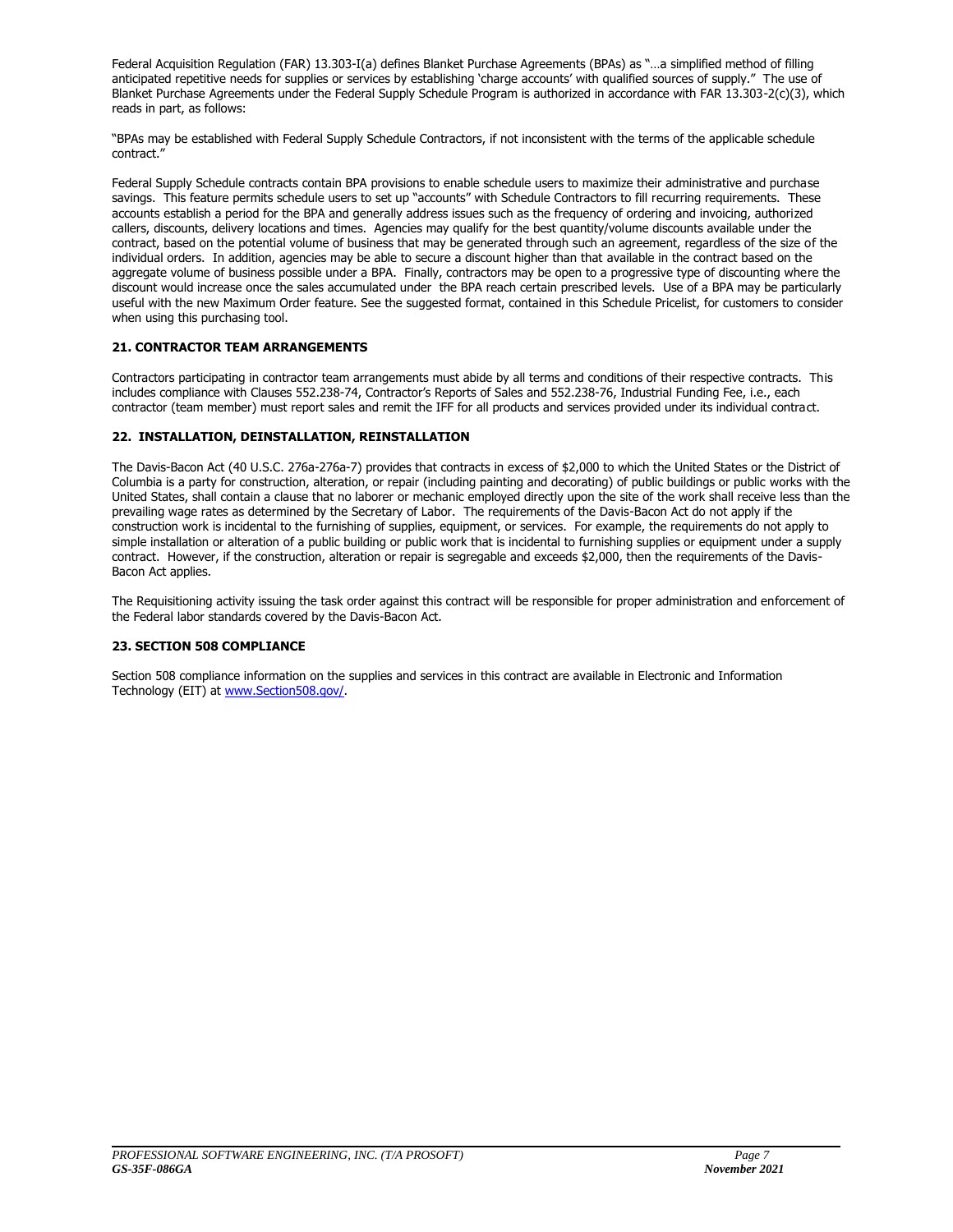Federal Acquisition Regulation (FAR) 13.303-I(a) defines Blanket Purchase Agreements (BPAs) as "…a simplified method of filling anticipated repetitive needs for supplies or services by establishing 'charge accounts' with qualified sources of supply." The use of Blanket Purchase Agreements under the Federal Supply Schedule Program is authorized in accordance with FAR 13.303-2(c)(3), which reads in part, as follows:

"BPAs may be established with Federal Supply Schedule Contractors, if not inconsistent with the terms of the applicable schedule contract."

Federal Supply Schedule contracts contain BPA provisions to enable schedule users to maximize their administrative and purchase savings. This feature permits schedule users to set up "accounts" with Schedule Contractors to fill recurring requirements. These accounts establish a period for the BPA and generally address issues such as the frequency of ordering and invoicing, authorized callers, discounts, delivery locations and times. Agencies may qualify for the best quantity/volume discounts available under the contract, based on the potential volume of business that may be generated through such an agreement, regardless of the size of the individual orders. In addition, agencies may be able to secure a discount higher than that available in the contract based on the aggregate volume of business possible under a BPA. Finally, contractors may be open to a progressive type of discounting where the discount would increase once the sales accumulated under the BPA reach certain prescribed levels. Use of a BPA may be particularly useful with the new Maximum Order feature. See the suggested format, contained in this Schedule Pricelist, for customers to consider when using this purchasing tool.

### **21. CONTRACTOR TEAM ARRANGEMENTS**

Contractors participating in contractor team arrangements must abide by all terms and conditions of their respective contracts. This includes compliance with Clauses 552.238-74, Contractor's Reports of Sales and 552.238-76, Industrial Funding Fee, i.e., each contractor (team member) must report sales and remit the IFF for all products and services provided under its individual contract.

### **22. INSTALLATION, DEINSTALLATION, REINSTALLATION**

The Davis-Bacon Act (40 U.S.C. 276a-276a-7) provides that contracts in excess of \$2,000 to which the United States or the District of Columbia is a party for construction, alteration, or repair (including painting and decorating) of public buildings or public works with the United States, shall contain a clause that no laborer or mechanic employed directly upon the site of the work shall receive less than the prevailing wage rates as determined by the Secretary of Labor. The requirements of the Davis-Bacon Act do not apply if the construction work is incidental to the furnishing of supplies, equipment, or services. For example, the requirements do not apply to simple installation or alteration of a public building or public work that is incidental to furnishing supplies or equipment under a supply contract. However, if the construction, alteration or repair is segregable and exceeds \$2,000, then the requirements of the Davis-Bacon Act applies.

The Requisitioning activity issuing the task order against this contract will be responsible for proper administration and enforcement of the Federal labor standards covered by the Davis-Bacon Act.

### **23. SECTION 508 COMPLIANCE**

Section 508 compliance information on the supplies and services in this contract are available in Electronic and Information Technology (EIT) a[t www.Section508.gov/.](http://www.section508.gov/)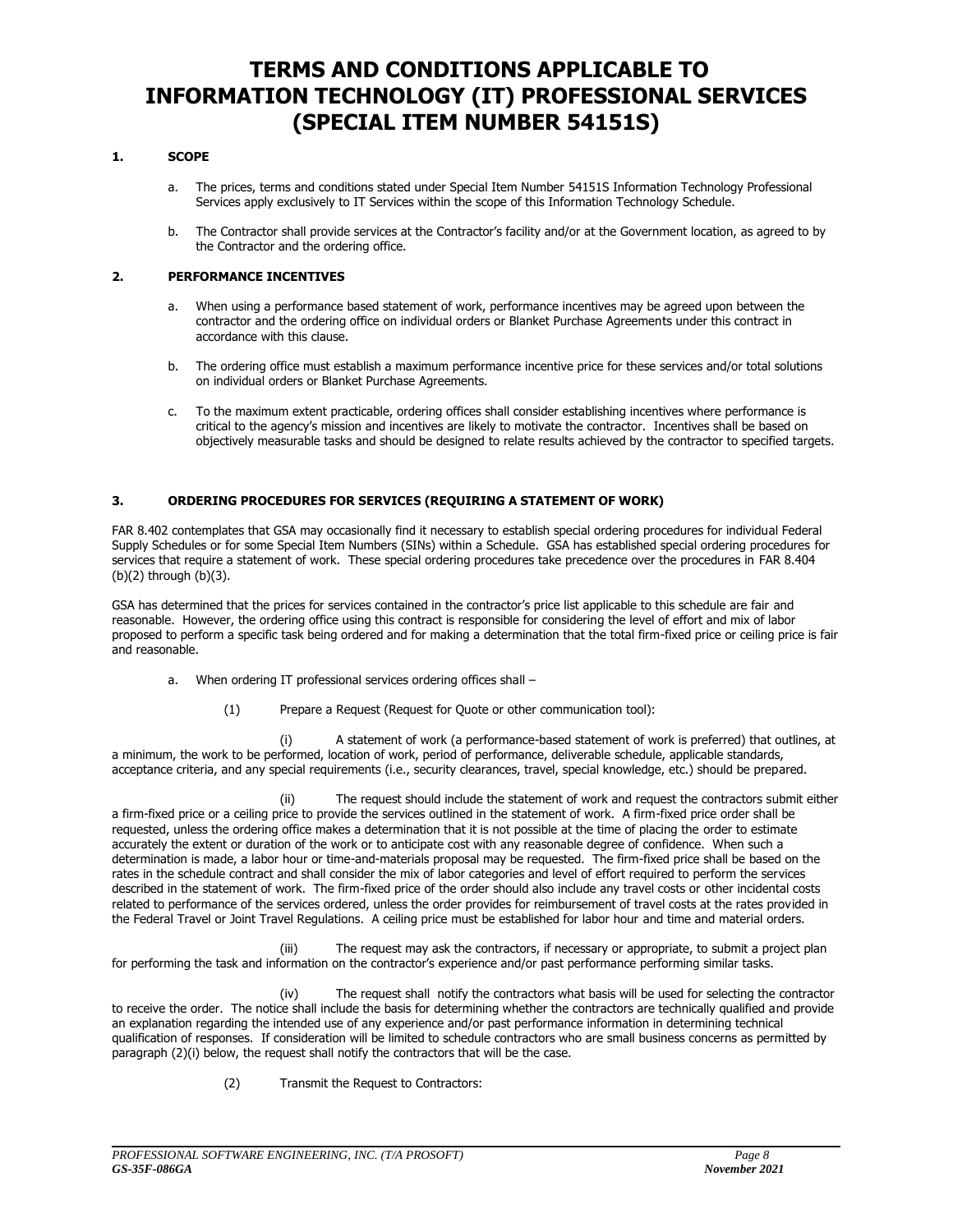### **TERMS AND CONDITIONS APPLICABLE TO INFORMATION TECHNOLOGY (IT) PROFESSIONAL SERVICES (SPECIAL ITEM NUMBER 54151S)**

### **1. SCOPE**

- a. The prices, terms and conditions stated under Special Item Number 54151S Information Technology Professional Services apply exclusively to IT Services within the scope of this Information Technology Schedule.
- b. The Contractor shall provide services at the Contractor's facility and/or at the Government location, as agreed to by the Contractor and the ordering office.

### **2. PERFORMANCE INCENTIVES**

- a. When using a performance based statement of work, performance incentives may be agreed upon between the contractor and the ordering office on individual orders or Blanket Purchase Agreements under this contract in accordance with this clause.
- b. The ordering office must establish a maximum performance incentive price for these services and/or total solutions on individual orders or Blanket Purchase Agreements.
- c. To the maximum extent practicable, ordering offices shall consider establishing incentives where performance is critical to the agency's mission and incentives are likely to motivate the contractor. Incentives shall be based on objectively measurable tasks and should be designed to relate results achieved by the contractor to specified targets.

### **3. ORDERING PROCEDURES FOR SERVICES (REQUIRING A STATEMENT OF WORK)**

FAR 8.402 contemplates that GSA may occasionally find it necessary to establish special ordering procedures for individual Federal Supply Schedules or for some Special Item Numbers (SINs) within a Schedule. GSA has established special ordering procedures for services that require a statement of work. These special ordering procedures take precedence over the procedures in FAR 8.404 (b)(2) through (b)(3).

GSA has determined that the prices for services contained in the contractor's price list applicable to this schedule are fair and reasonable. However, the ordering office using this contract is responsible for considering the level of effort and mix of labor proposed to perform a specific task being ordered and for making a determination that the total firm-fixed price or ceiling price is fair and reasonable.

- a. When ordering IT professional services ordering offices shall
	- (1) Prepare a Request (Request for Quote or other communication tool):

(i) A statement of work (a performance-based statement of work is preferred) that outlines, at a minimum, the work to be performed, location of work, period of performance, deliverable schedule, applicable standards, acceptance criteria, and any special requirements (i.e., security clearances, travel, special knowledge, etc.) should be prepared.

(ii) The request should include the statement of work and request the contractors submit either a firm-fixed price or a ceiling price to provide the services outlined in the statement of work. A firm-fixed price order shall be requested, unless the ordering office makes a determination that it is not possible at the time of placing the order to estimate accurately the extent or duration of the work or to anticipate cost with any reasonable degree of confidence. When such a determination is made, a labor hour or time-and-materials proposal may be requested. The firm-fixed price shall be based on the rates in the schedule contract and shall consider the mix of labor categories and level of effort required to perform the services described in the statement of work. The firm-fixed price of the order should also include any travel costs or other incidental costs related to performance of the services ordered, unless the order provides for reimbursement of travel costs at the rates provided in the Federal Travel or Joint Travel Regulations. A ceiling price must be established for labor hour and time and material orders.

(iii) The request may ask the contractors, if necessary or appropriate, to submit a project plan for performing the task and information on the contractor's experience and/or past performance performing similar tasks.

(iv) The request shall notify the contractors what basis will be used for selecting the contractor to receive the order. The notice shall include the basis for determining whether the contractors are technically qualified and provide an explanation regarding the intended use of any experience and/or past performance information in determining technical qualification of responses. If consideration will be limited to schedule contractors who are small business concerns as permitted by paragraph (2)(i) below, the request shall notify the contractors that will be the case.

(2) Transmit the Request to Contractors: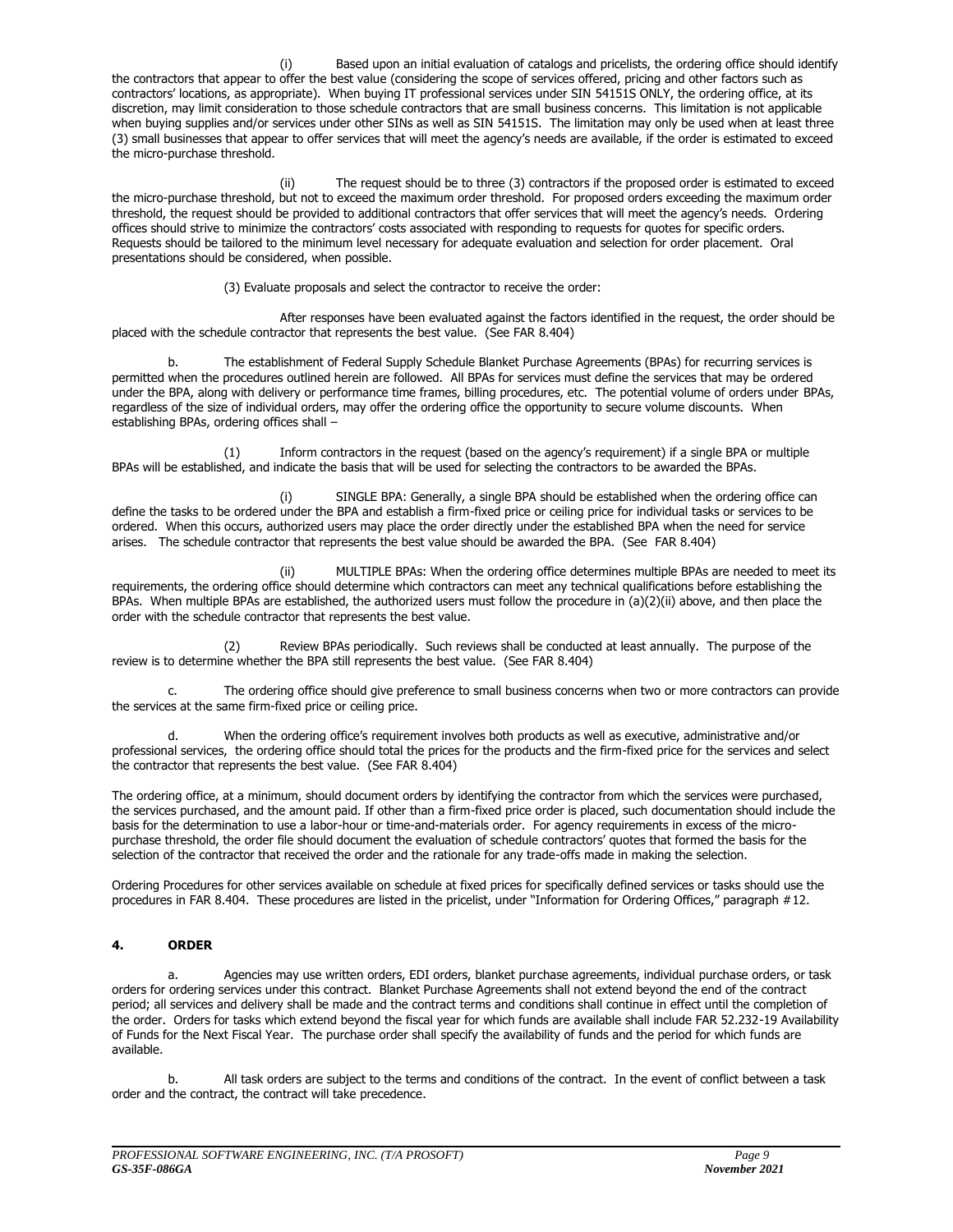Based upon an initial evaluation of catalogs and pricelists, the ordering office should identify the contractors that appear to offer the best value (considering the scope of services offered, pricing and other factors such as contractors' locations, as appropriate). When buying IT professional services under SIN 54151S ONLY, the ordering office, at its discretion, may limit consideration to those schedule contractors that are small business concerns. This limitation is not applicable when buying supplies and/or services under other SINs as well as SIN 54151S. The limitation may only be used when at least three (3) small businesses that appear to offer services that will meet the agency's needs are available, if the order is estimated to exceed the micro-purchase threshold.

(ii) The request should be to three (3) contractors if the proposed order is estimated to exceed the micro-purchase threshold, but not to exceed the maximum order threshold. For proposed orders exceeding the maximum order threshold, the request should be provided to additional contractors that offer services that will meet the agency's needs. Ordering offices should strive to minimize the contractors' costs associated with responding to requests for quotes for specific orders. Requests should be tailored to the minimum level necessary for adequate evaluation and selection for order placement. Oral presentations should be considered, when possible.

(3) Evaluate proposals and select the contractor to receive the order:

After responses have been evaluated against the factors identified in the request, the order should be placed with the schedule contractor that represents the best value. (See FAR 8.404)

b. The establishment of Federal Supply Schedule Blanket Purchase Agreements (BPAs) for recurring services is permitted when the procedures outlined herein are followed. All BPAs for services must define the services that may be ordered under the BPA, along with delivery or performance time frames, billing procedures, etc. The potential volume of orders under BPAs, regardless of the size of individual orders, may offer the ordering office the opportunity to secure volume discounts. When establishing BPAs, ordering offices shall –

(1) Inform contractors in the request (based on the agency's requirement) if a single BPA or multiple BPAs will be established, and indicate the basis that will be used for selecting the contractors to be awarded the BPAs.

(i) SINGLE BPA: Generally, a single BPA should be established when the ordering office can define the tasks to be ordered under the BPA and establish a firm-fixed price or ceiling price for individual tasks or services to be ordered. When this occurs, authorized users may place the order directly under the established BPA when the need for service arises. The schedule contractor that represents the best value should be awarded the BPA. (See FAR 8.404)

(ii) MULTIPLE BPAs: When the ordering office determines multiple BPAs are needed to meet its requirements, the ordering office should determine which contractors can meet any technical qualifications before establishing the BPAs. When multiple BPAs are established, the authorized users must follow the procedure in (a)(2)(ii) above, and then place the order with the schedule contractor that represents the best value.

(2) Review BPAs periodically. Such reviews shall be conducted at least annually. The purpose of the review is to determine whether the BPA still represents the best value. (See FAR 8.404)

c. The ordering office should give preference to small business concerns when two or more contractors can provide the services at the same firm-fixed price or ceiling price.

d. When the ordering office's requirement involves both products as well as executive, administrative and/or professional services, the ordering office should total the prices for the products and the firm-fixed price for the services and select the contractor that represents the best value. (See FAR 8.404)

The ordering office, at a minimum, should document orders by identifying the contractor from which the services were purchased, the services purchased, and the amount paid. If other than a firm-fixed price order is placed, such documentation should include the basis for the determination to use a labor-hour or time-and-materials order. For agency requirements in excess of the micropurchase threshold, the order file should document the evaluation of schedule contractors' quotes that formed the basis for the selection of the contractor that received the order and the rationale for any trade-offs made in making the selection.

Ordering Procedures for other services available on schedule at fixed prices for specifically defined services or tasks should use the procedures in FAR 8.404. These procedures are listed in the pricelist, under "Information for Ordering Offices," paragraph #12.

### **4. ORDER**

a. Agencies may use written orders, EDI orders, blanket purchase agreements, individual purchase orders, or task orders for ordering services under this contract. Blanket Purchase Agreements shall not extend beyond the end of the contract period; all services and delivery shall be made and the contract terms and conditions shall continue in effect until the completion of the order. Orders for tasks which extend beyond the fiscal year for which funds are available shall include FAR 52.232-19 Availability of Funds for the Next Fiscal Year. The purchase order shall specify the availability of funds and the period for which funds are available.

b. All task orders are subject to the terms and conditions of the contract. In the event of conflict between a task order and the contract, the contract will take precedence.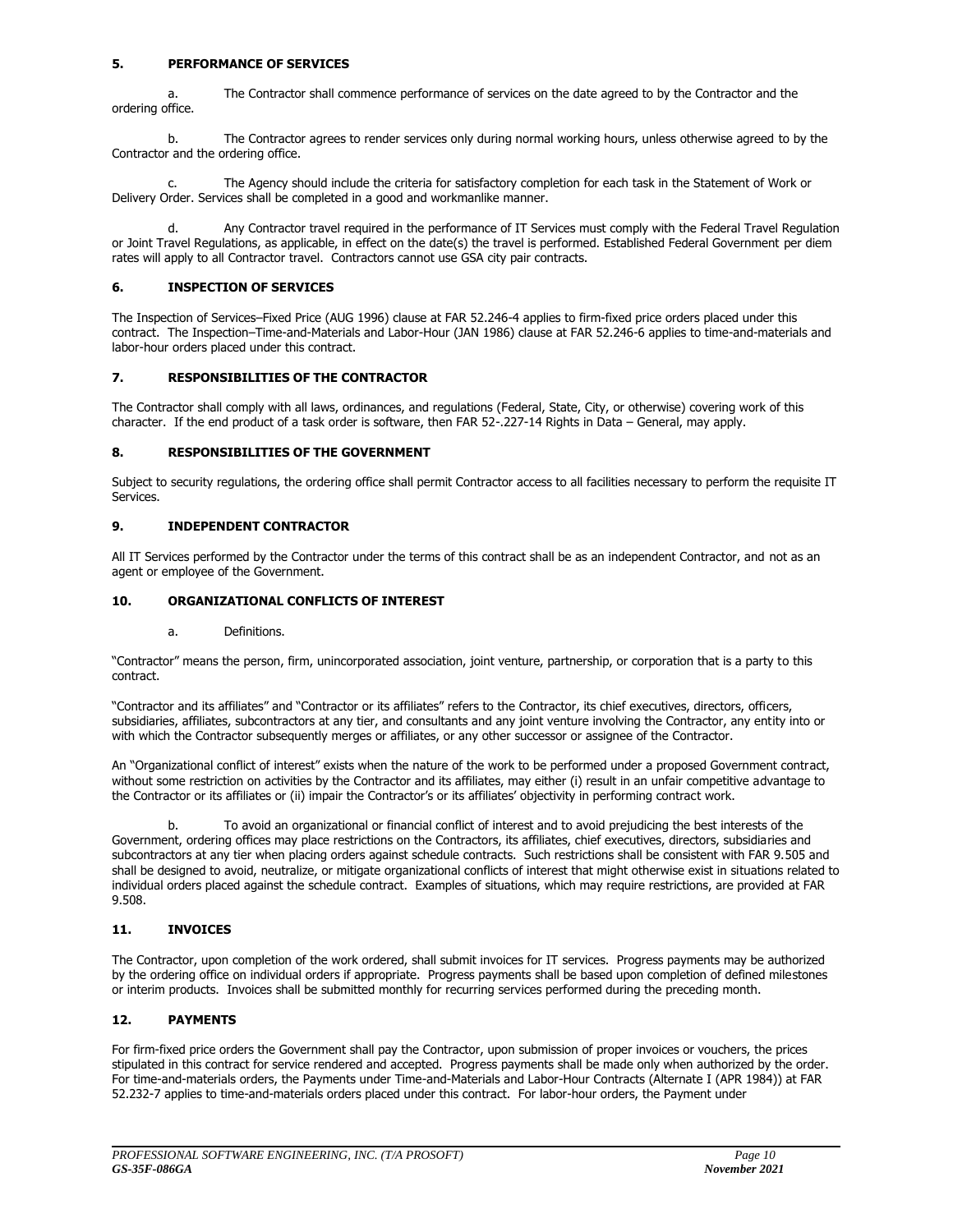### **5. PERFORMANCE OF SERVICES**

a. The Contractor shall commence performance of services on the date agreed to by the Contractor and the ordering office.

b. The Contractor agrees to render services only during normal working hours, unless otherwise agreed to by the Contractor and the ordering office.

c. The Agency should include the criteria for satisfactory completion for each task in the Statement of Work or Delivery Order. Services shall be completed in a good and workmanlike manner.

d. Any Contractor travel required in the performance of IT Services must comply with the Federal Travel Regulation or Joint Travel Regulations, as applicable, in effect on the date(s) the travel is performed. Established Federal Government per diem rates will apply to all Contractor travel. Contractors cannot use GSA city pair contracts.

### **6. INSPECTION OF SERVICES**

The Inspection of Services–Fixed Price (AUG 1996) clause at FAR 52.246-4 applies to firm-fixed price orders placed under this contract. The Inspection–Time-and-Materials and Labor-Hour (JAN 1986) clause at FAR 52.246-6 applies to time-and-materials and labor-hour orders placed under this contract.

### **7. RESPONSIBILITIES OF THE CONTRACTOR**

The Contractor shall comply with all laws, ordinances, and regulations (Federal, State, City, or otherwise) covering work of this character. If the end product of a task order is software, then FAR 52-.227-14 Rights in Data – General, may apply.

### **8. RESPONSIBILITIES OF THE GOVERNMENT**

Subject to security regulations, the ordering office shall permit Contractor access to all facilities necessary to perform the requisite IT Services.

### **9. INDEPENDENT CONTRACTOR**

All IT Services performed by the Contractor under the terms of this contract shall be as an independent Contractor, and not as an agent or employee of the Government.

### **10. ORGANIZATIONAL CONFLICTS OF INTEREST**

a. Definitions.

"Contractor" means the person, firm, unincorporated association, joint venture, partnership, or corporation that is a party to this contract.

"Contractor and its affiliates" and "Contractor or its affiliates" refers to the Contractor, its chief executives, directors, officers, subsidiaries, affiliates, subcontractors at any tier, and consultants and any joint venture involving the Contractor, any entity into or with which the Contractor subsequently merges or affiliates, or any other successor or assignee of the Contractor.

An "Organizational conflict of interest" exists when the nature of the work to be performed under a proposed Government contract, without some restriction on activities by the Contractor and its affiliates, may either (i) result in an unfair competitive advantage to the Contractor or its affiliates or (ii) impair the Contractor's or its affiliates' objectivity in performing contract work.

b. To avoid an organizational or financial conflict of interest and to avoid prejudicing the best interests of the Government, ordering offices may place restrictions on the Contractors, its affiliates, chief executives, directors, subsidiaries and subcontractors at any tier when placing orders against schedule contracts. Such restrictions shall be consistent with FAR 9.505 and shall be designed to avoid, neutralize, or mitigate organizational conflicts of interest that might otherwise exist in situations related to individual orders placed against the schedule contract. Examples of situations, which may require restrictions, are provided at FAR 9.508.

### **11. INVOICES**

The Contractor, upon completion of the work ordered, shall submit invoices for IT services. Progress payments may be authorized by the ordering office on individual orders if appropriate. Progress payments shall be based upon completion of defined milestones or interim products. Invoices shall be submitted monthly for recurring services performed during the preceding month.

### **12. PAYMENTS**

For firm-fixed price orders the Government shall pay the Contractor, upon submission of proper invoices or vouchers, the prices stipulated in this contract for service rendered and accepted. Progress payments shall be made only when authorized by the order. For time-and-materials orders, the Payments under Time-and-Materials and Labor-Hour Contracts (Alternate I (APR 1984)) at FAR 52.232-7 applies to time-and-materials orders placed under this contract. For labor-hour orders, the Payment under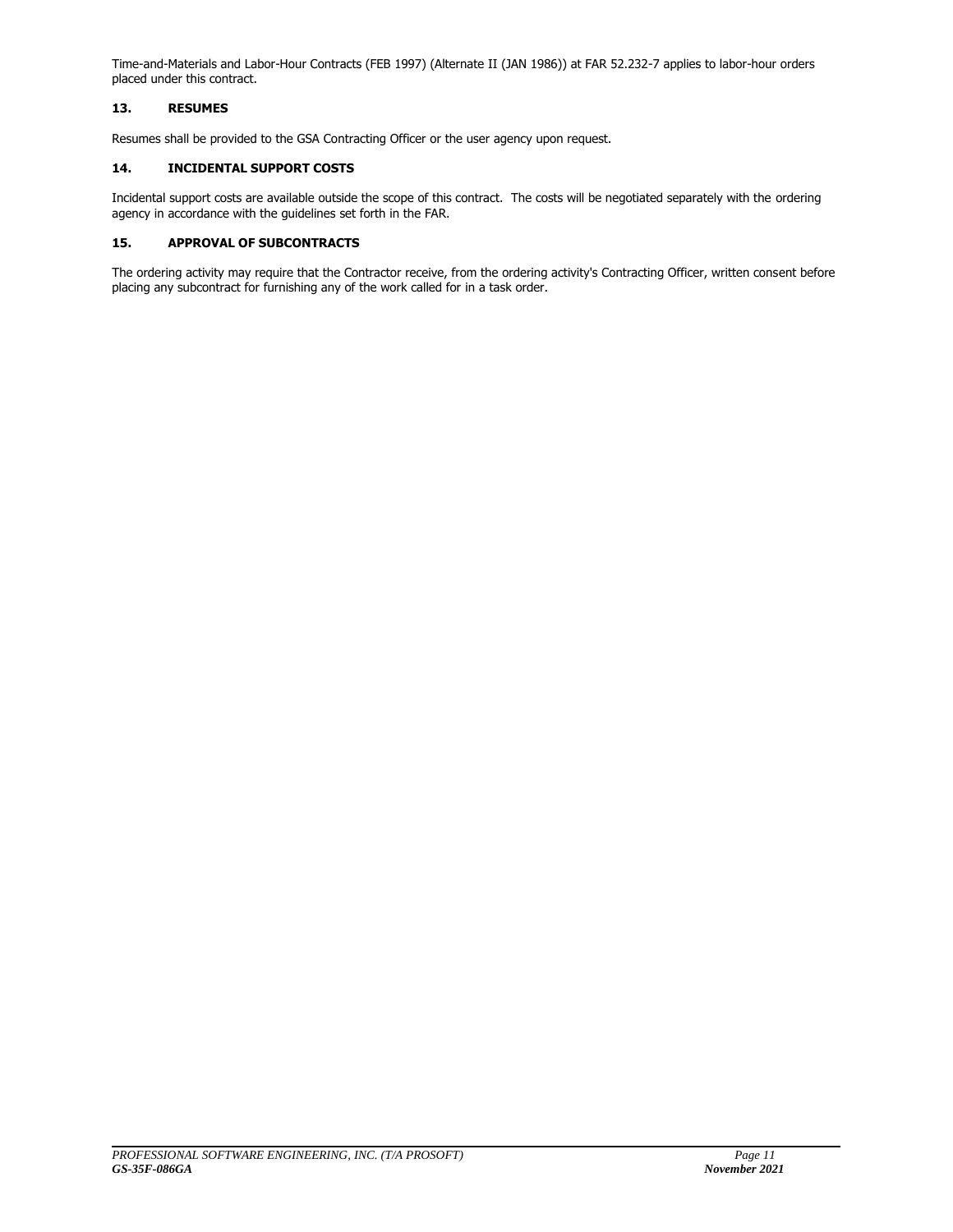Time-and-Materials and Labor-Hour Contracts (FEB 1997) (Alternate II (JAN 1986)) at FAR 52.232-7 applies to labor-hour orders placed under this contract.

### **13. RESUMES**

Resumes shall be provided to the GSA Contracting Officer or the user agency upon request.

### **14. INCIDENTAL SUPPORT COSTS**

Incidental support costs are available outside the scope of this contract. The costs will be negotiated separately with the ordering agency in accordance with the guidelines set forth in the FAR.

### **15. APPROVAL OF SUBCONTRACTS**

The ordering activity may require that the Contractor receive, from the ordering activity's Contracting Officer, written consent before placing any subcontract for furnishing any of the work called for in a task order.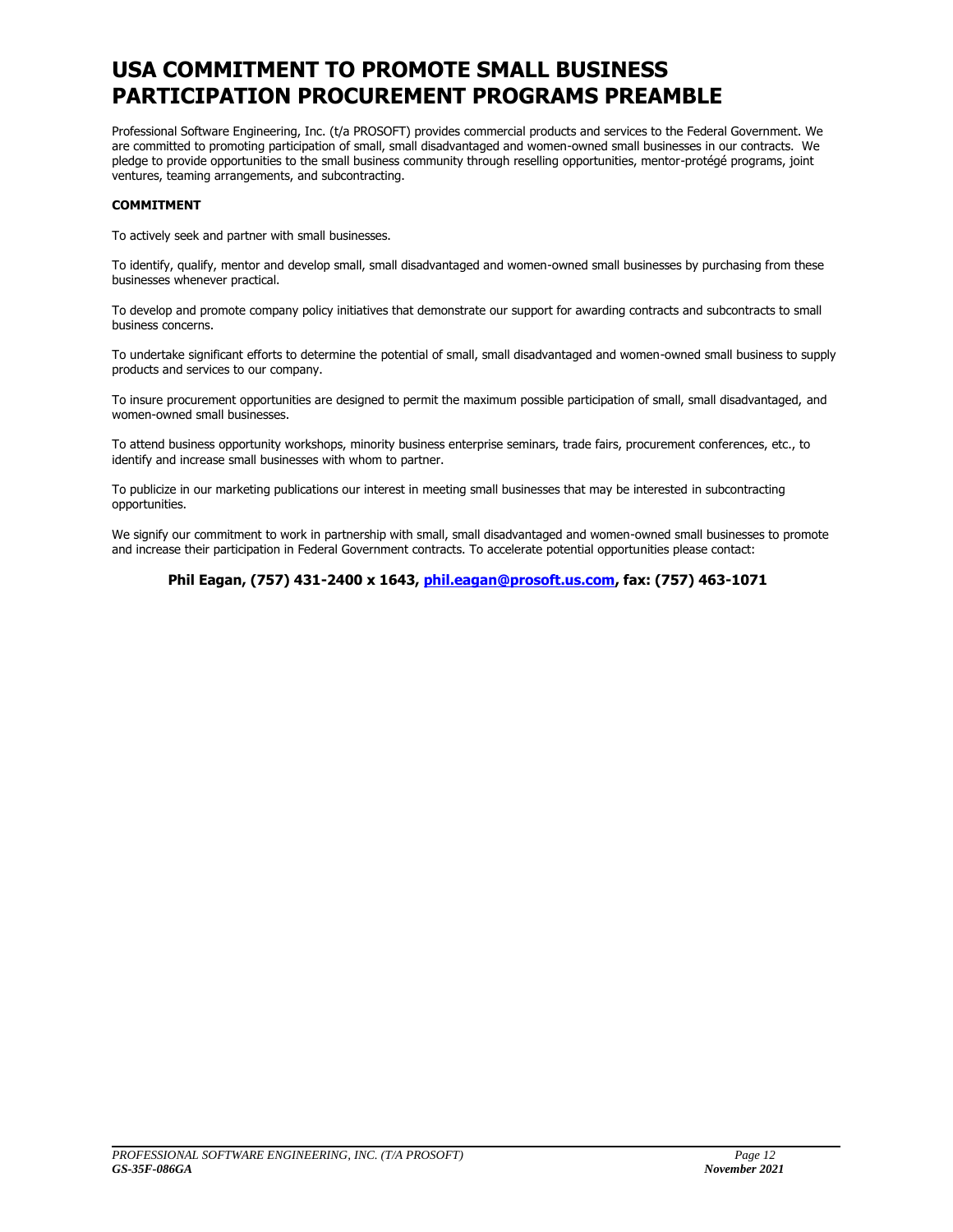### **USA COMMITMENT TO PROMOTE SMALL BUSINESS PARTICIPATION PROCUREMENT PROGRAMS PREAMBLE**

Professional Software Engineering, Inc. (t/a PROSOFT) provides commercial products and services to the Federal Government. We are committed to promoting participation of small, small disadvantaged and women-owned small businesses in our contracts. We pledge to provide opportunities to the small business community through reselling opportunities, mentor-protégé programs, joint ventures, teaming arrangements, and subcontracting.

### **COMMITMENT**

To actively seek and partner with small businesses.

To identify, qualify, mentor and develop small, small disadvantaged and women-owned small businesses by purchasing from these businesses whenever practical.

To develop and promote company policy initiatives that demonstrate our support for awarding contracts and subcontracts to small business concerns.

To undertake significant efforts to determine the potential of small, small disadvantaged and women-owned small business to supply products and services to our company.

To insure procurement opportunities are designed to permit the maximum possible participation of small, small disadvantaged, and women-owned small businesses.

To attend business opportunity workshops, minority business enterprise seminars, trade fairs, procurement conferences, etc., to identify and increase small businesses with whom to partner.

To publicize in our marketing publications our interest in meeting small businesses that may be interested in subcontracting opportunities.

We signify our commitment to work in partnership with small, small disadvantaged and women-owned small businesses to promote and increase their participation in Federal Government contracts. To accelerate potential opportunities please contact:

**Phil Eagan, (757) 431-2400 x 1643, [phil.eagan@prosoft.us.com,](mailto:phil.eagan@prosoft.us.com) fax: (757) 463-1071**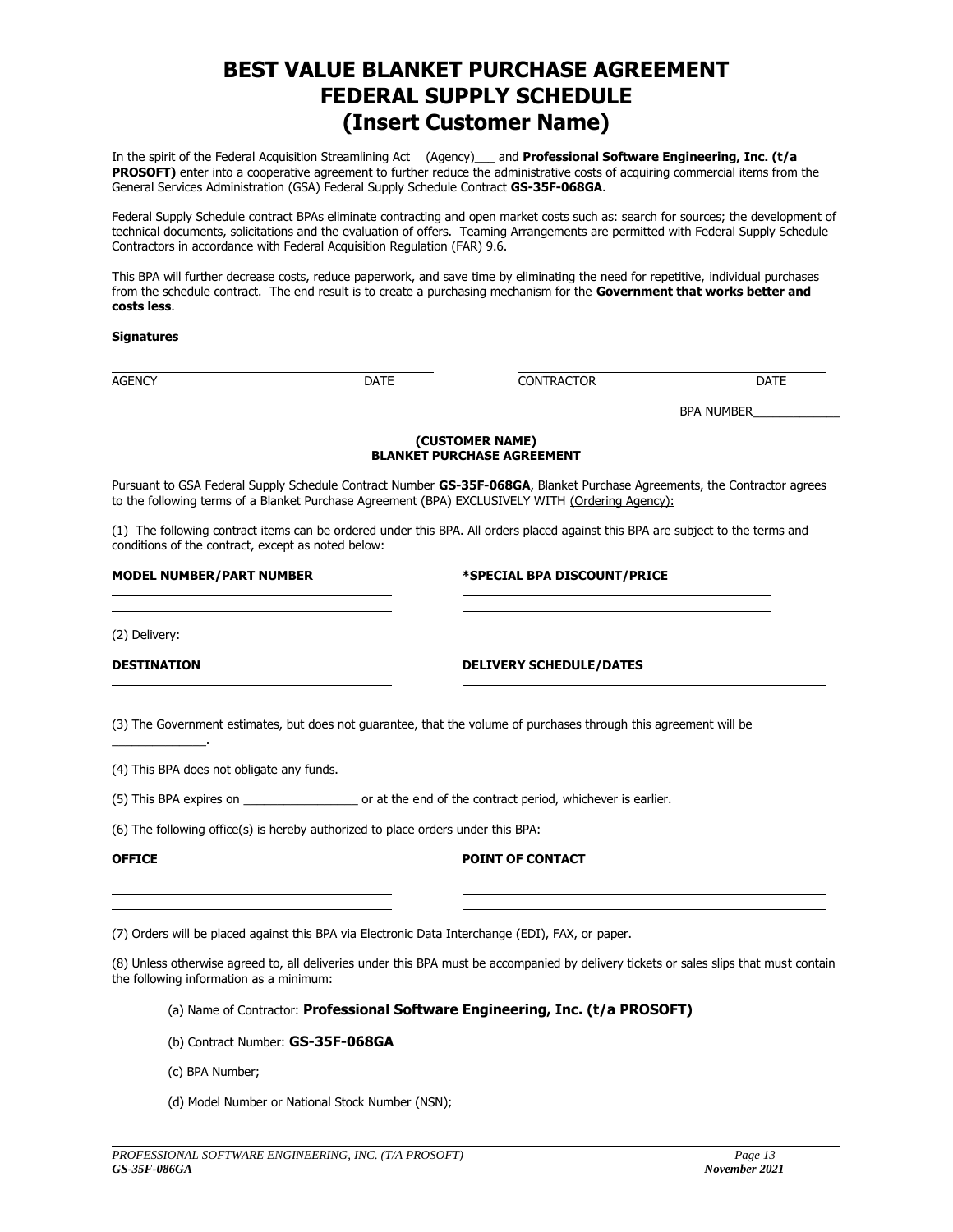### **BEST VALUE BLANKET PURCHASE AGREEMENT FEDERAL SUPPLY SCHEDULE (Insert Customer Name)**

In the spirit of the Federal Acquisition Streamlining Act (Agency) and **Professional Software Engineering, Inc. (t/a** PROSOFT) enter into a cooperative agreement to further reduce the administrative costs of acquiring commercial items from the General Services Administration (GSA) Federal Supply Schedule Contract **GS-35F-068GA**.

Federal Supply Schedule contract BPAs eliminate contracting and open market costs such as: search for sources; the development of technical documents, solicitations and the evaluation of offers. Teaming Arrangements are permitted with Federal Supply Schedule Contractors in accordance with Federal Acquisition Regulation (FAR) 9.6.

This BPA will further decrease costs, reduce paperwork, and save time by eliminating the need for repetitive, individual purchases from the schedule contract. The end result is to create a purchasing mechanism for the **Government that works better and costs less**.

#### **Signatures**

AGENCY DATE CONTRACTOR DATE

BPA NUMBER

#### **(CUSTOMER NAME) BLANKET PURCHASE AGREEMENT**

Pursuant to GSA Federal Supply Schedule Contract Number **GS-35F-068GA**, Blanket Purchase Agreements, the Contractor agrees to the following terms of a Blanket Purchase Agreement (BPA) EXCLUSIVELY WITH (Ordering Agency):

(1) The following contract items can be ordered under this BPA. All orders placed against this BPA are subject to the terms and conditions of the contract, except as noted below:

### **MODEL NUMBER/PART NUMBER \*SPECIAL BPA DISCOUNT/PRICE**

(2) Delivery:

 $\mathcal{L}=\mathcal{L}^{\mathcal{L}}$  , where  $\mathcal{L}^{\mathcal{L}}$ 

### **DESTINATION DELIVERY SCHEDULE/DATES**

(3) The Government estimates, but does not guarantee, that the volume of purchases through this agreement will be

(4) This BPA does not obligate any funds.

(5) This BPA expires on \_\_\_\_\_\_\_\_\_\_\_\_\_\_\_\_\_ or at the end of the contract period, whichever is earlier.

(6) The following office(s) is hereby authorized to place orders under this BPA:

### **OFFICE POINT OF CONTACT**

(7) Orders will be placed against this BPA via Electronic Data Interchange (EDI), FAX, or paper.

(8) Unless otherwise agreed to, all deliveries under this BPA must be accompanied by delivery tickets or sales slips that must contain the following information as a minimum:

### (a) Name of Contractor: **Professional Software Engineering, Inc. (t/a PROSOFT)**

- (b) Contract Number: **GS-35F-068GA**
- (c) BPA Number;
- (d) Model Number or National Stock Number (NSN);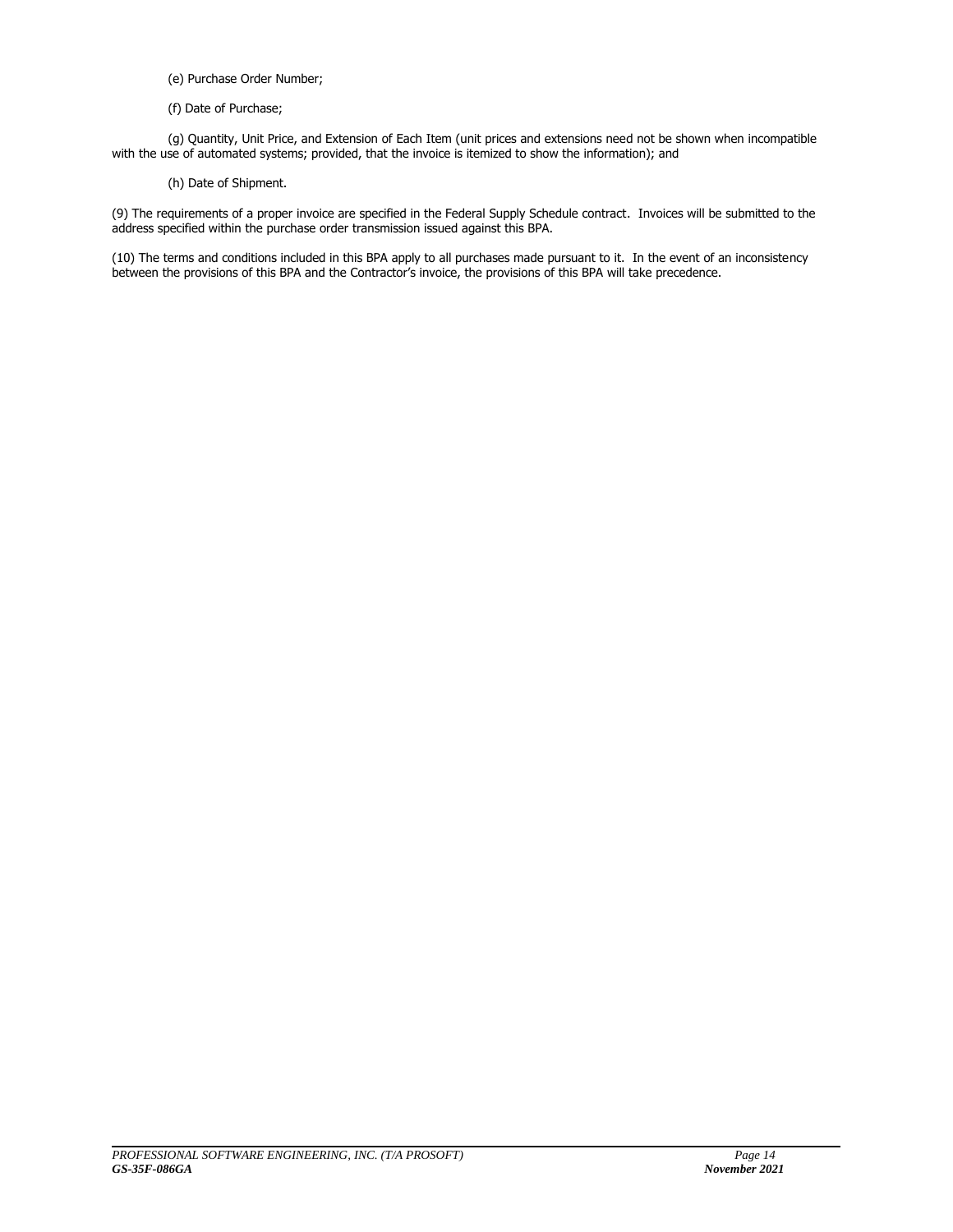- (e) Purchase Order Number;
- (f) Date of Purchase;

(g) Quantity, Unit Price, and Extension of Each Item (unit prices and extensions need not be shown when incompatible with the use of automated systems; provided, that the invoice is itemized to show the information); and

(h) Date of Shipment.

(9) The requirements of a proper invoice are specified in the Federal Supply Schedule contract. Invoices will be submitted to the address specified within the purchase order transmission issued against this BPA.

(10) The terms and conditions included in this BPA apply to all purchases made pursuant to it. In the event of an inconsistency between the provisions of this BPA and the Contractor's invoice, the provisions of this BPA will take precedence.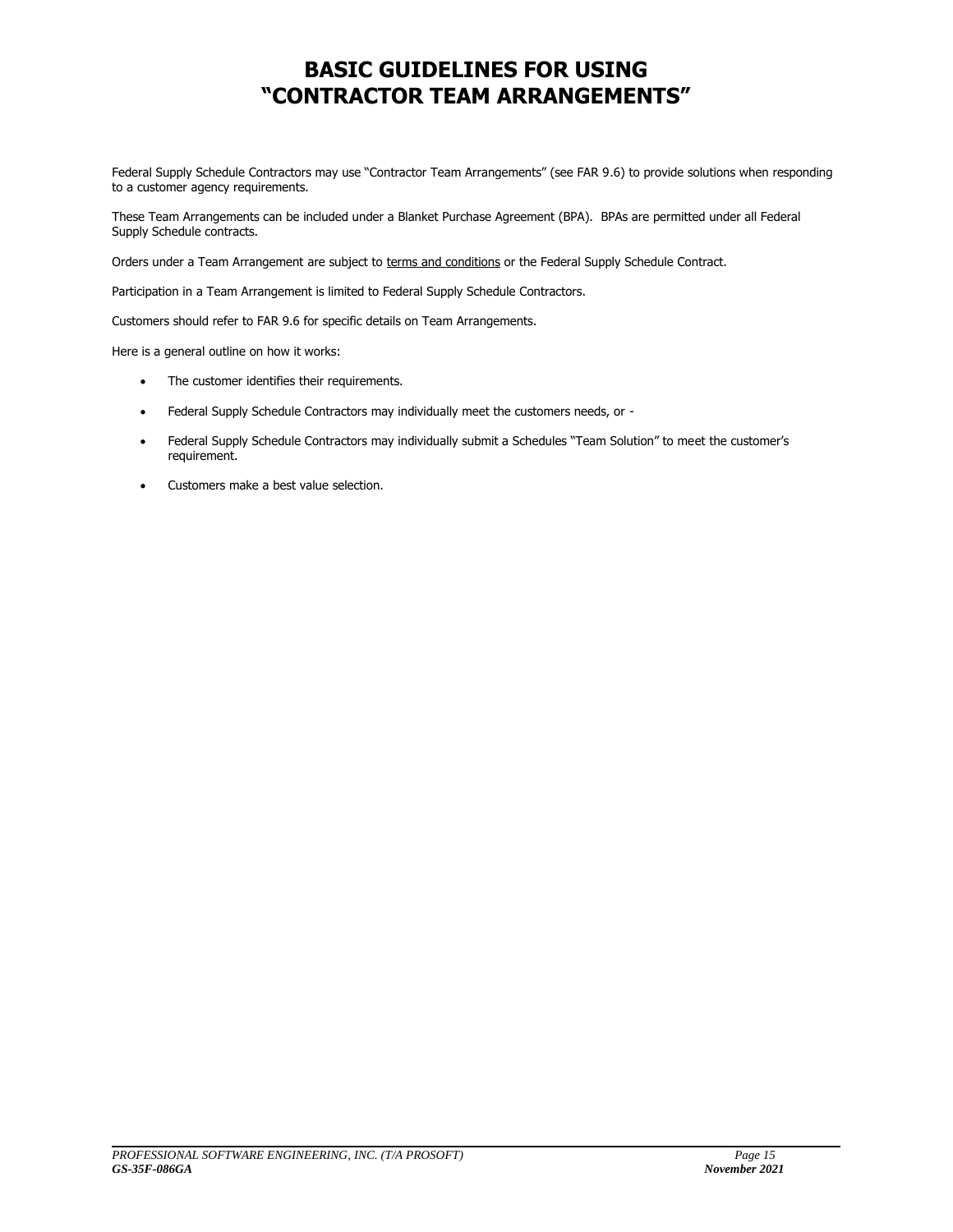### **BASIC GUIDELINES FOR USING "CONTRACTOR TEAM ARRANGEMENTS"**

Federal Supply Schedule Contractors may use "Contractor Team Arrangements" (see FAR 9.6) to provide solutions when responding to a customer agency requirements.

These Team Arrangements can be included under a Blanket Purchase Agreement (BPA). BPAs are permitted under all Federal Supply Schedule contracts.

Orders under a Team Arrangement are subject to terms and conditions or the Federal Supply Schedule Contract.

Participation in a Team Arrangement is limited to Federal Supply Schedule Contractors.

Customers should refer to FAR 9.6 for specific details on Team Arrangements.

Here is a general outline on how it works:

- The customer identifies their requirements.
- Federal Supply Schedule Contractors may individually meet the customers needs, or -
- Federal Supply Schedule Contractors may individually submit a Schedules "Team Solution" to meet the customer's requirement.
- Customers make a best value selection.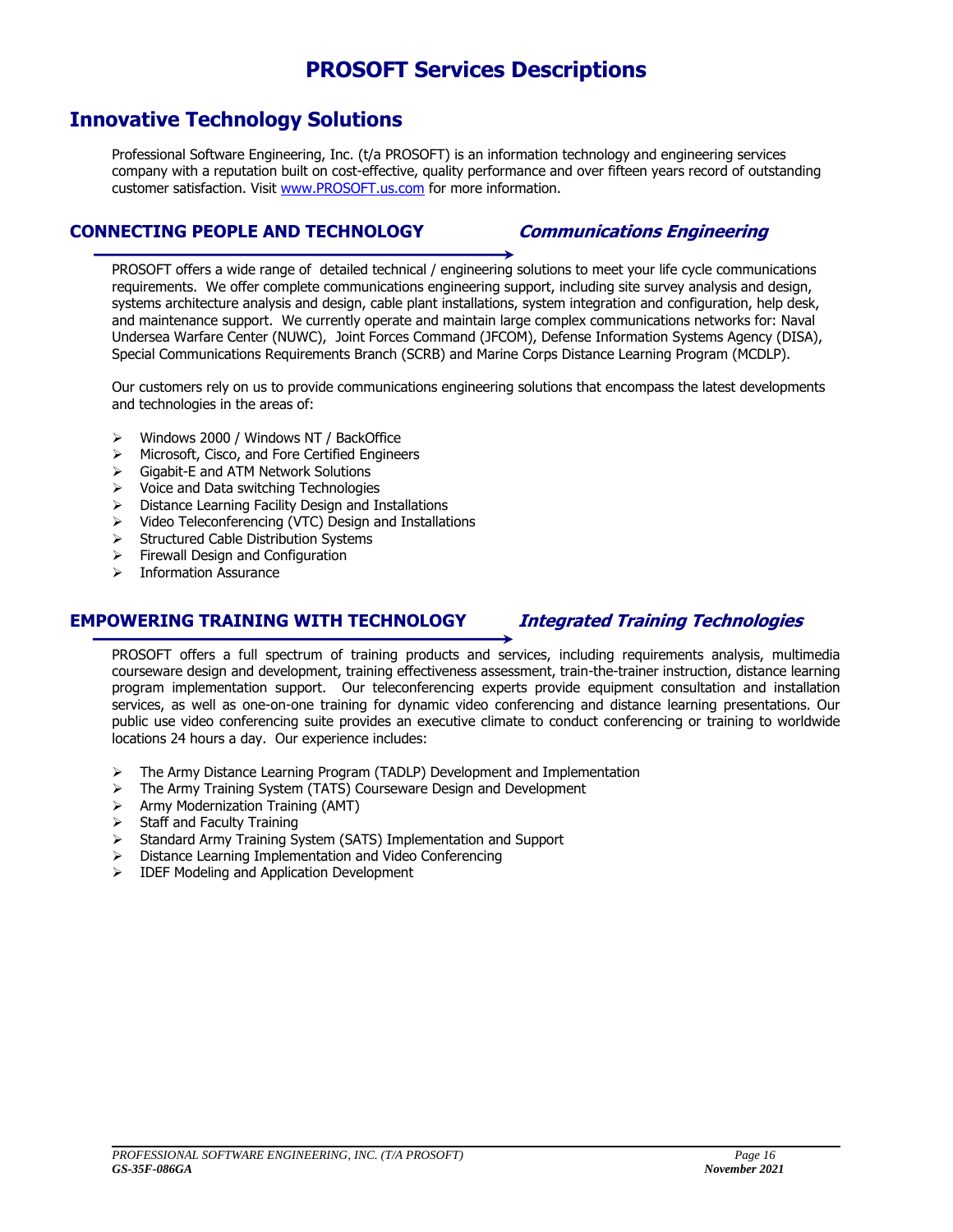### **PROSOFT Services Descriptions**

### **Innovative Technology Solutions**

Professional Software Engineering, Inc. (t/a PROSOFT) is an information technology and engineering services company with a reputation built on cost-effective, quality performance and over fifteen years record of outstanding customer satisfaction. Visit [www.PROSOFT.us.com](http://www.prosoft.us.com/) for more information.

### **CONNECTING PEOPLE AND TECHNOLOGY Communications Engineering**

PROSOFT offers a wide range of detailed technical / engineering solutions to meet your life cycle communications requirements. We offer complete communications engineering support, including site survey analysis and design, systems architecture analysis and design, cable plant installations, system integration and configuration, help desk, and maintenance support. We currently operate and maintain large complex communications networks for: Naval Undersea Warfare Center (NUWC), Joint Forces Command (JFCOM), Defense Information Systems Agency (DISA), Special Communications Requirements Branch (SCRB) and Marine Corps Distance Learning Program (MCDLP).

Our customers rely on us to provide communications engineering solutions that encompass the latest developments and technologies in the areas of:

- Windows 2000 / Windows NT / BackOffice
- > Microsoft, Cisco, and Fore Certified Engineers
- ▶ Gigabit-E and ATM Network Solutions
- $\triangleright$  Voice and Data switching Technologies
- $\triangleright$  Distance Learning Facility Design and Installations
- $\triangleright$  Video Teleconferencing (VTC) Design and Installations
- $\triangleright$  Structured Cable Distribution Systems
- $\triangleright$  Firewall Design and Configuration
- Information Assurance

### **EMPOWERING TRAINING WITH TECHNOLOGY Integrated Training Technologies**

PROSOFT offers a full spectrum of training products and services, including requirements analysis, multimedia courseware design and development, training effectiveness assessment, train-the-trainer instruction, distance learning program implementation support. Our teleconferencing experts provide equipment consultation and installation services, as well as one-on-one training for dynamic video conferencing and distance learning presentations. Our public use video conferencing suite provides an executive climate to conduct conferencing or training to worldwide locations 24 hours a day. Our experience includes:

- $\triangleright$  The Army Distance Learning Program (TADLP) Development and Implementation
- The Army Training System (TATS) Courseware Design and Development
- $\triangleright$  Army Modernization Training (AMT)
- $\triangleright$  Staff and Faculty Training
- > Standard Army Training System (SATS) Implementation and Support
- Distance Learning Implementation and Video Conferencing
- > IDEF Modeling and Application Development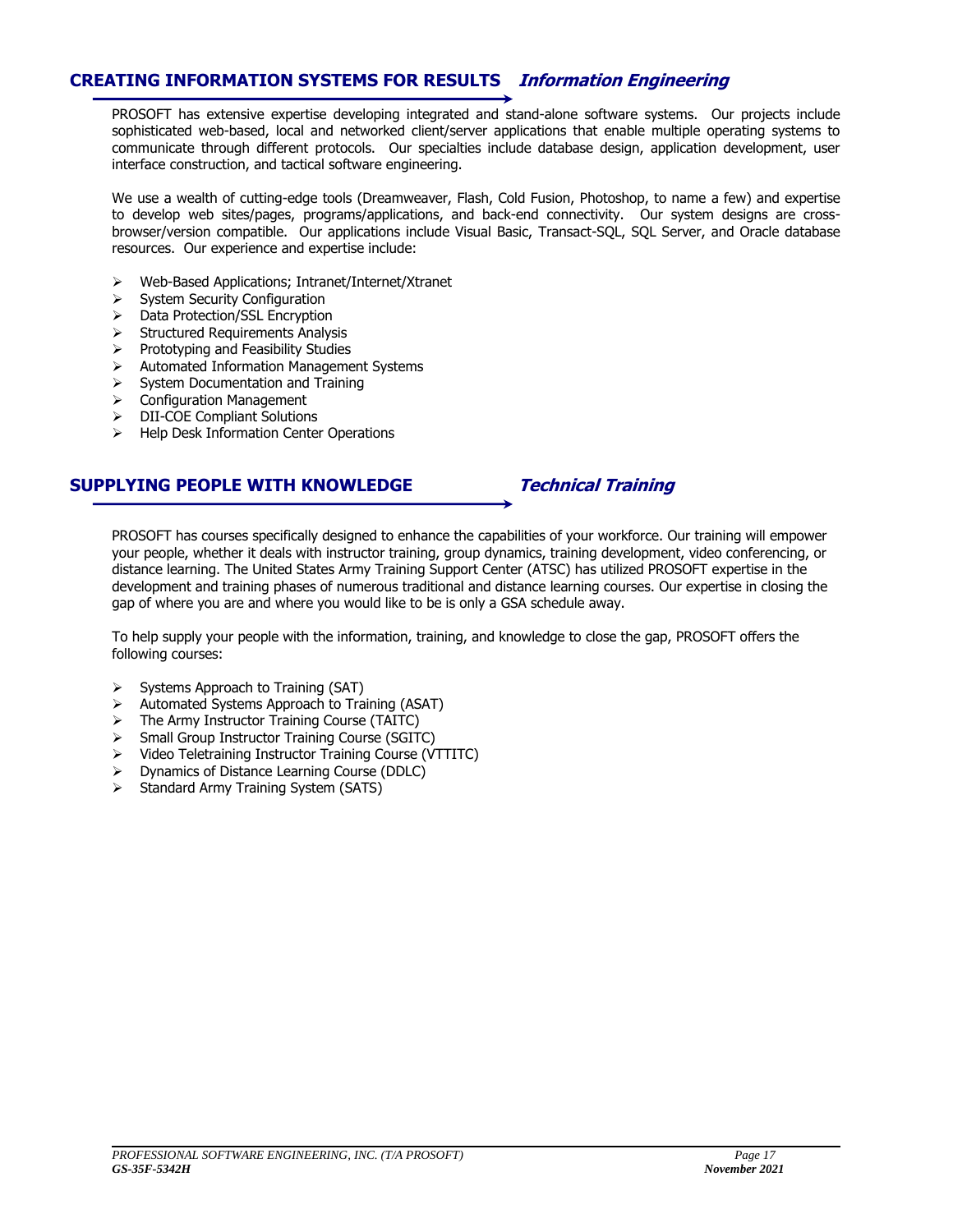### **CREATING INFORMATION SYSTEMS FOR RESULTS Information Engineering**

PROSOFT has extensive expertise developing integrated and stand-alone software systems. Our projects include sophisticated web-based, local and networked client/server applications that enable multiple operating systems to communicate through different protocols. Our specialties include database design, application development, user interface construction, and tactical software engineering.

We use a wealth of cutting-edge tools (Dreamweaver, Flash, Cold Fusion, Photoshop, to name a few) and expertise to develop web sites/pages, programs/applications, and back-end connectivity. Our system designs are crossbrowser/version compatible. Our applications include Visual Basic, Transact-SQL, SQL Server, and Oracle database resources. Our experience and expertise include:

- Web-Based Applications; Intranet/Internet/Xtranet
- $\triangleright$  System Security Configuration
- > Data Protection/SSL Encryption
- $\triangleright$  Structured Requirements Analysis
- $\triangleright$  Prototyping and Feasibility Studies
- Automated Information Management Systems
- $\triangleright$  System Documentation and Training
- $\triangleright$  Configuration Management
- > DII-COE Compliant Solutions
- $\triangleright$  Help Desk Information Center Operations

### **SUPPLYING PEOPLE WITH KNOWLEDGE Technical Training**

PROSOFT has courses specifically designed to enhance the capabilities of your workforce. Our training will empower your people, whether it deals with instructor training, group dynamics, training development, video conferencing, or distance learning. The United States Army Training Support Center (ATSC) has utilized PROSOFT expertise in the development and training phases of numerous traditional and distance learning courses. Our expertise in closing the gap of where you are and where you would like to be is only a GSA schedule away.

To help supply your people with the information, training, and knowledge to close the gap, PROSOFT offers the following courses:

- $\triangleright$  Systems Approach to Training (SAT)
- $\triangleright$  Automated Systems Approach to Training (ASAT)
- $\triangleright$  The Army Instructor Training Course (TAITC)
- Small Group Instructor Training Course (SGITC)
- Video Teletraining Instructor Training Course (VTTITC)
- Dynamics of Distance Learning Course (DDLC)
- $\triangleright$  Standard Army Training System (SATS)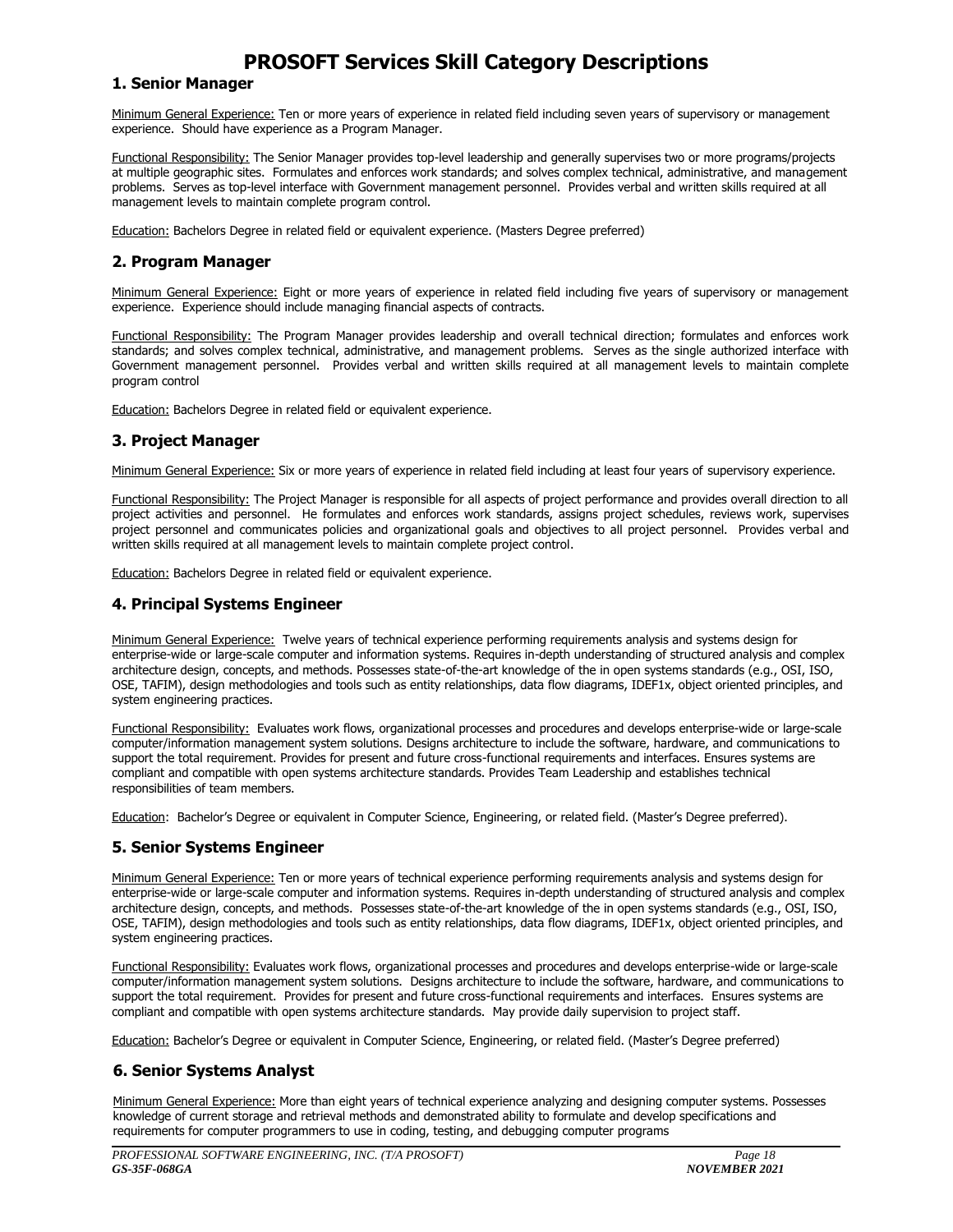### **PROSOFT Services Skill Category Descriptions**

### **1. Senior Manager**

Minimum General Experience: Ten or more years of experience in related field including seven years of supervisory or management experience. Should have experience as a Program Manager.

Functional Responsibility: The Senior Manager provides top-level leadership and generally supervises two or more programs/projects at multiple geographic sites. Formulates and enforces work standards; and solves complex technical, administrative, and management problems. Serves as top-level interface with Government management personnel. Provides verbal and written skills required at all management levels to maintain complete program control.

Education: Bachelors Degree in related field or equivalent experience. (Masters Degree preferred)

### **2. Program Manager**

Minimum General Experience: Eight or more years of experience in related field including five years of supervisory or management experience. Experience should include managing financial aspects of contracts.

Functional Responsibility: The Program Manager provides leadership and overall technical direction; formulates and enforces work standards; and solves complex technical, administrative, and management problems. Serves as the single authorized interface with Government management personnel. Provides verbal and written skills required at all management levels to maintain complete program control

Education: Bachelors Degree in related field or equivalent experience.

### **3. Project Manager**

Minimum General Experience: Six or more years of experience in related field including at least four years of supervisory experience.

Functional Responsibility: The Project Manager is responsible for all aspects of project performance and provides overall direction to all project activities and personnel. He formulates and enforces work standards, assigns project schedules, reviews work, supervises project personnel and communicates policies and organizational goals and objectives to all project personnel. Provides verbal and written skills required at all management levels to maintain complete project control.

Education: Bachelors Degree in related field or equivalent experience.

### **4. Principal Systems Engineer**

Minimum General Experience: Twelve years of technical experience performing requirements analysis and systems design for enterprise-wide or large-scale computer and information systems. Requires in-depth understanding of structured analysis and complex architecture design, concepts, and methods. Possesses state-of-the-art knowledge of the in open systems standards (e.g., OSI, ISO, OSE, TAFIM), design methodologies and tools such as entity relationships, data flow diagrams, IDEF1x, object oriented principles, and system engineering practices.

Functional Responsibility: Evaluates work flows, organizational processes and procedures and develops enterprise-wide or large-scale computer/information management system solutions. Designs architecture to include the software, hardware, and communications to support the total requirement. Provides for present and future cross-functional requirements and interfaces. Ensures systems are compliant and compatible with open systems architecture standards. Provides Team Leadership and establishes technical responsibilities of team members.

Education: Bachelor's Degree or equivalent in Computer Science, Engineering, or related field. (Master's Degree preferred).

### **5. Senior Systems Engineer**

Minimum General Experience: Ten or more years of technical experience performing requirements analysis and systems design for enterprise-wide or large-scale computer and information systems. Requires in-depth understanding of structured analysis and complex architecture design, concepts, and methods. Possesses state-of-the-art knowledge of the in open systems standards (e.g., OSI, ISO, OSE, TAFIM), design methodologies and tools such as entity relationships, data flow diagrams, IDEF1x, object oriented principles, and system engineering practices.

Functional Responsibility: Evaluates work flows, organizational processes and procedures and develops enterprise-wide or large-scale computer/information management system solutions. Designs architecture to include the software, hardware, and communications to support the total requirement. Provides for present and future cross-functional requirements and interfaces. Ensures systems are compliant and compatible with open systems architecture standards. May provide daily supervision to project staff.

Education: Bachelor's Degree or equivalent in Computer Science, Engineering, or related field. (Master's Degree preferred)

### **6. Senior Systems Analyst**

Minimum General Experience: More than eight years of technical experience analyzing and designing computer systems. Possesses knowledge of current storage and retrieval methods and demonstrated ability to formulate and develop specifications and requirements for computer programmers to use in coding, testing, and debugging computer programs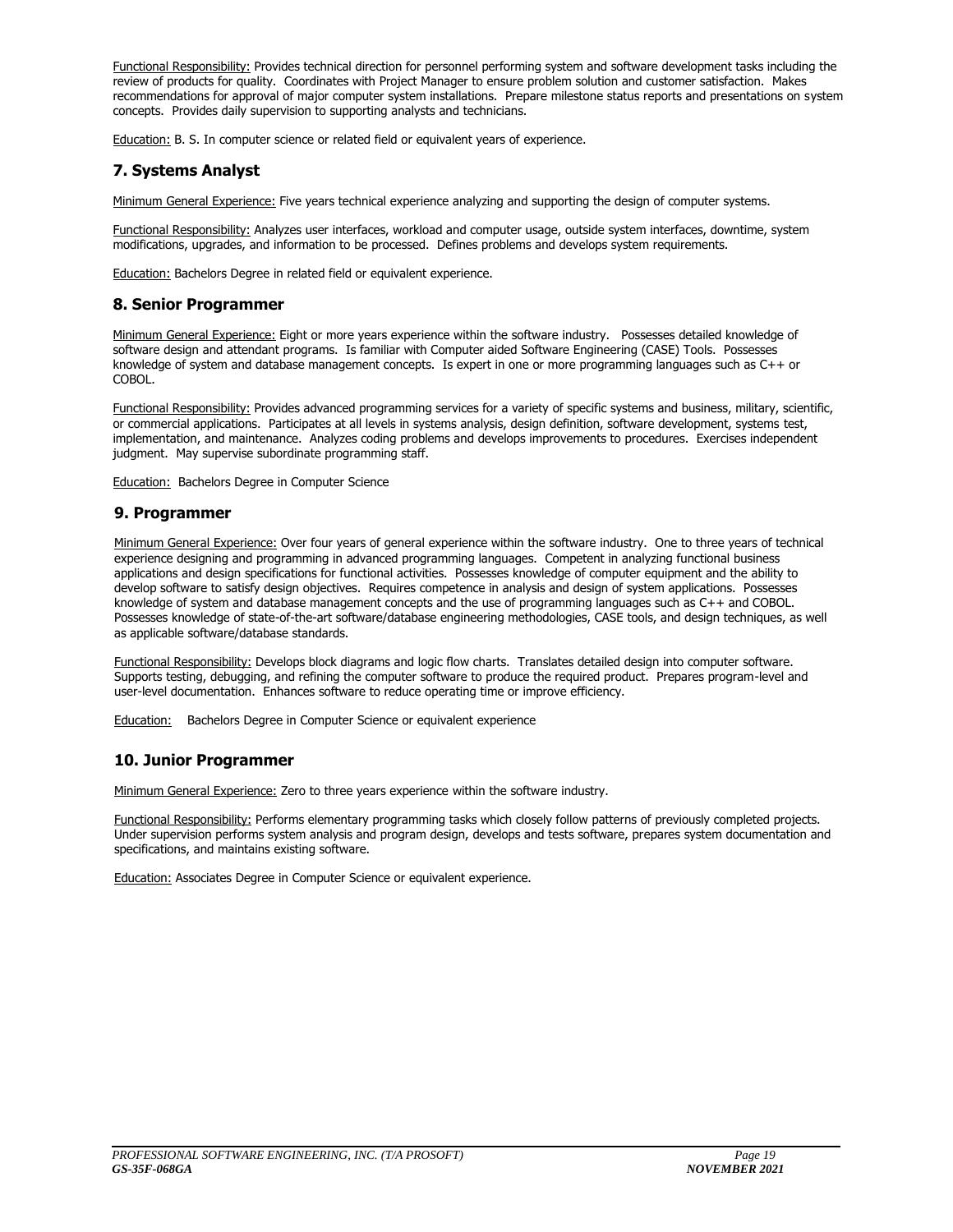Functional Responsibility: Provides technical direction for personnel performing system and software development tasks including the review of products for quality. Coordinates with Project Manager to ensure problem solution and customer satisfaction. Makes recommendations for approval of major computer system installations. Prepare milestone status reports and presentations on system concepts. Provides daily supervision to supporting analysts and technicians.

Education: B. S. In computer science or related field or equivalent years of experience.

### **7. Systems Analyst**

Minimum General Experience: Five years technical experience analyzing and supporting the design of computer systems.

Functional Responsibility: Analyzes user interfaces, workload and computer usage, outside system interfaces, downtime, system modifications, upgrades, and information to be processed. Defines problems and develops system requirements.

Education: Bachelors Degree in related field or equivalent experience.

### **8. Senior Programmer**

Minimum General Experience: Eight or more years experience within the software industry. Possesses detailed knowledge of software design and attendant programs. Is familiar with Computer aided Software Engineering (CASE) Tools. Possesses knowledge of system and database management concepts. Is expert in one or more programming languages such as C++ or COBOL.

Functional Responsibility: Provides advanced programming services for a variety of specific systems and business, military, scientific, or commercial applications. Participates at all levels in systems analysis, design definition, software development, systems test, implementation, and maintenance. Analyzes coding problems and develops improvements to procedures. Exercises independent judgment. May supervise subordinate programming staff.

**Education:** Bachelors Degree in Computer Science

### **9. Programmer**

Minimum General Experience: Over four years of general experience within the software industry. One to three years of technical experience designing and programming in advanced programming languages. Competent in analyzing functional business applications and design specifications for functional activities. Possesses knowledge of computer equipment and the ability to develop software to satisfy design objectives. Requires competence in analysis and design of system applications. Possesses knowledge of system and database management concepts and the use of programming languages such as C++ and COBOL. Possesses knowledge of state-of-the-art software/database engineering methodologies, CASE tools, and design techniques, as well as applicable software/database standards.

Functional Responsibility: Develops block diagrams and logic flow charts. Translates detailed design into computer software. Supports testing, debugging, and refining the computer software to produce the required product. Prepares program-level and user-level documentation. Enhances software to reduce operating time or improve efficiency.

Education: Bachelors Degree in Computer Science or equivalent experience

### **10. Junior Programmer**

Minimum General Experience: Zero to three years experience within the software industry.

Functional Responsibility: Performs elementary programming tasks which closely follow patterns of previously completed projects. Under supervision performs system analysis and program design, develops and tests software, prepares system documentation and specifications, and maintains existing software.

**Education: Associates Degree in Computer Science or equivalent experience.**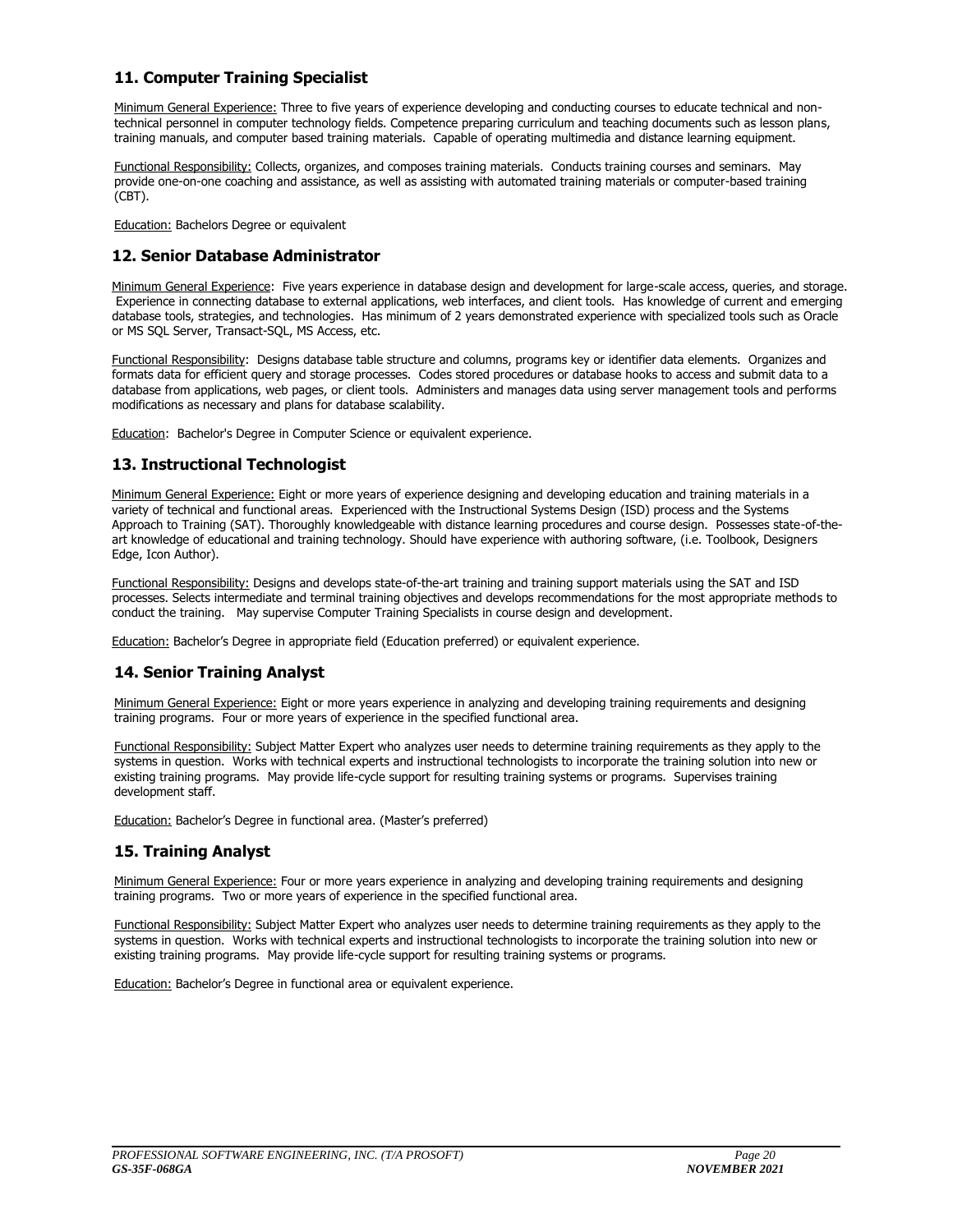### **11. Computer Training Specialist**

Minimum General Experience: Three to five years of experience developing and conducting courses to educate technical and nontechnical personnel in computer technology fields. Competence preparing curriculum and teaching documents such as lesson plans, training manuals, and computer based training materials. Capable of operating multimedia and distance learning equipment.

Functional Responsibility: Collects, organizes, and composes training materials. Conducts training courses and seminars. May provide one-on-one coaching and assistance, as well as assisting with automated training materials or computer-based training (CBT).

**Education: Bachelors Degree or equivalent** 

### **12. Senior Database Administrator**

Minimum General Experience: Five years experience in database design and development for large-scale access, queries, and storage. Experience in connecting database to external applications, web interfaces, and client tools. Has knowledge of current and emerging database tools, strategies, and technologies. Has minimum of 2 years demonstrated experience with specialized tools such as Oracle or MS SQL Server, Transact-SQL, MS Access, etc.

Functional Responsibility: Designs database table structure and columns, programs key or identifier data elements. Organizes and formats data for efficient query and storage processes. Codes stored procedures or database hooks to access and submit data to a database from applications, web pages, or client tools. Administers and manages data using server management tools and performs modifications as necessary and plans for database scalability.

Education: Bachelor's Degree in Computer Science or equivalent experience.

### **13. Instructional Technologist**

Minimum General Experience: Eight or more years of experience designing and developing education and training materials in a variety of technical and functional areas. Experienced with the Instructional Systems Design (ISD) process and the Systems Approach to Training (SAT). Thoroughly knowledgeable with distance learning procedures and course design. Possesses state-of-theart knowledge of educational and training technology. Should have experience with authoring software, (i.e. Toolbook, Designers Edge, Icon Author).

Functional Responsibility: Designs and develops state-of-the-art training and training support materials using the SAT and ISD processes. Selects intermediate and terminal training objectives and develops recommendations for the most appropriate methods to conduct the training. May supervise Computer Training Specialists in course design and development.

Education: Bachelor's Degree in appropriate field (Education preferred) or equivalent experience.

### **14. Senior Training Analyst**

Minimum General Experience: Eight or more years experience in analyzing and developing training requirements and designing training programs. Four or more years of experience in the specified functional area.

Functional Responsibility: Subject Matter Expert who analyzes user needs to determine training requirements as they apply to the systems in question. Works with technical experts and instructional technologists to incorporate the training solution into new or existing training programs. May provide life-cycle support for resulting training systems or programs. Supervises training development staff.

Education: Bachelor's Degree in functional area. (Master's preferred)

### **15. Training Analyst**

Minimum General Experience: Four or more years experience in analyzing and developing training requirements and designing training programs. Two or more years of experience in the specified functional area.

Functional Responsibility: Subject Matter Expert who analyzes user needs to determine training requirements as they apply to the systems in question. Works with technical experts and instructional technologists to incorporate the training solution into new or existing training programs. May provide life-cycle support for resulting training systems or programs.

Education: Bachelor's Degree in functional area or equivalent experience.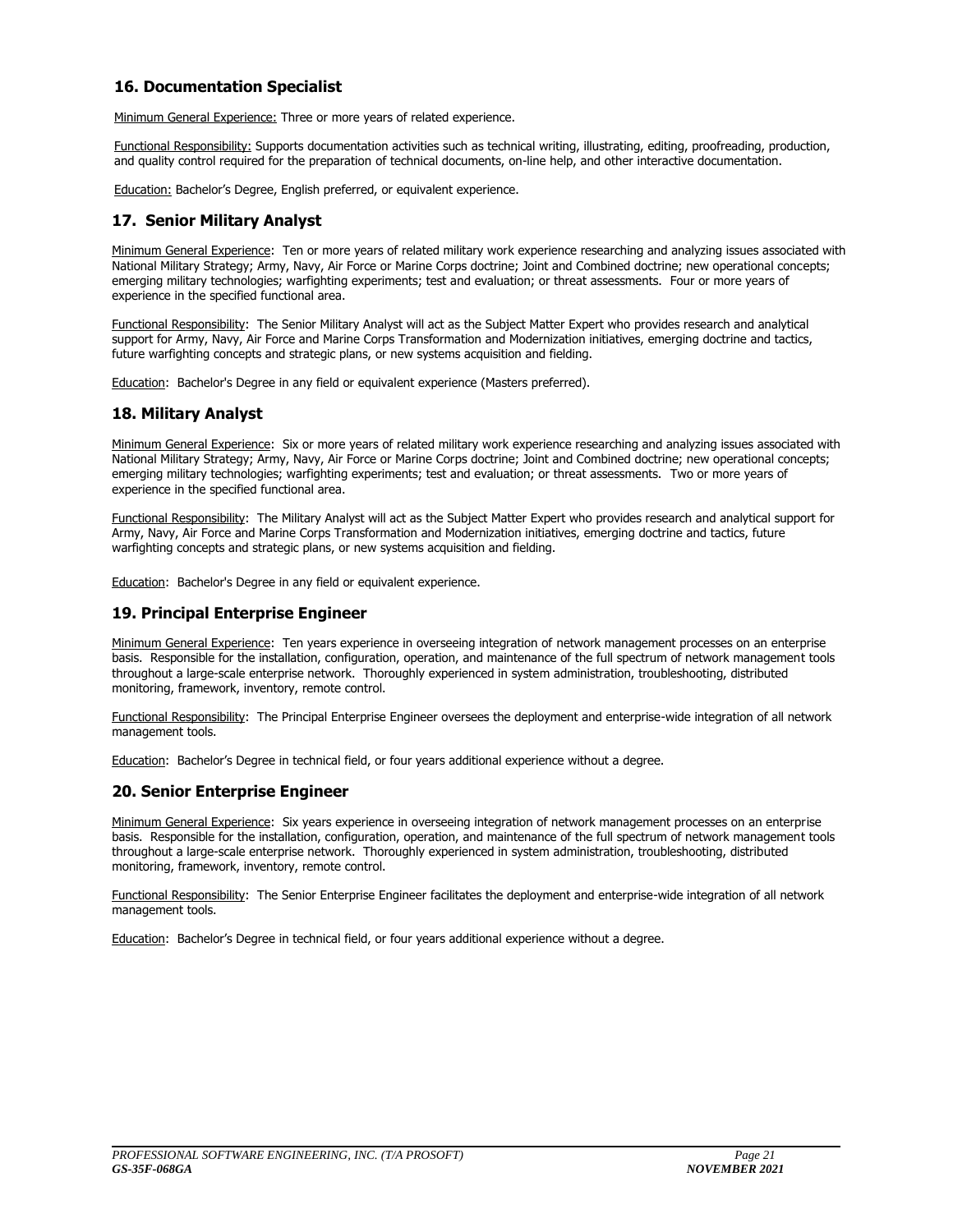### **16. Documentation Specialist**

Minimum General Experience: Three or more years of related experience.

Functional Responsibility: Supports documentation activities such as technical writing, illustrating, editing, proofreading, production, and quality control required for the preparation of technical documents, on-line help, and other interactive documentation.

Education: Bachelor's Degree, English preferred, or equivalent experience.

### **17. Senior Military Analyst**

Minimum General Experience: Ten or more years of related military work experience researching and analyzing issues associated with National Military Strategy; Army, Navy, Air Force or Marine Corps doctrine; Joint and Combined doctrine; new operational concepts; emerging military technologies; warfighting experiments; test and evaluation; or threat assessments. Four or more years of experience in the specified functional area.

Functional Responsibility: The Senior Military Analyst will act as the Subject Matter Expert who provides research and analytical support for Army, Navy, Air Force and Marine Corps Transformation and Modernization initiatives, emerging doctrine and tactics, future warfighting concepts and strategic plans, or new systems acquisition and fielding.

Education: Bachelor's Degree in any field or equivalent experience (Masters preferred).

### **18. Military Analyst**

Minimum General Experience: Six or more years of related military work experience researching and analyzing issues associated with National Military Strategy; Army, Navy, Air Force or Marine Corps doctrine; Joint and Combined doctrine; new operational concepts; emerging military technologies; warfighting experiments; test and evaluation; or threat assessments. Two or more years of experience in the specified functional area.

Functional Responsibility: The Military Analyst will act as the Subject Matter Expert who provides research and analytical support for Army, Navy, Air Force and Marine Corps Transformation and Modernization initiatives, emerging doctrine and tactics, future warfighting concepts and strategic plans, or new systems acquisition and fielding.

Education: Bachelor's Degree in any field or equivalent experience.

### **19. Principal Enterprise Engineer**

Minimum General Experience: Ten years experience in overseeing integration of network management processes on an enterprise basis. Responsible for the installation, configuration, operation, and maintenance of the full spectrum of network management tools throughout a large-scale enterprise network. Thoroughly experienced in system administration, troubleshooting, distributed monitoring, framework, inventory, remote control.

Functional Responsibility: The Principal Enterprise Engineer oversees the deployment and enterprise-wide integration of all network management tools.

Education: Bachelor's Degree in technical field, or four years additional experience without a degree.

### **20. Senior Enterprise Engineer**

Minimum General Experience: Six years experience in overseeing integration of network management processes on an enterprise basis. Responsible for the installation, configuration, operation, and maintenance of the full spectrum of network management tools throughout a large-scale enterprise network. Thoroughly experienced in system administration, troubleshooting, distributed monitoring, framework, inventory, remote control.

Functional Responsibility: The Senior Enterprise Engineer facilitates the deployment and enterprise-wide integration of all network management tools.

Education: Bachelor's Degree in technical field, or four years additional experience without a degree.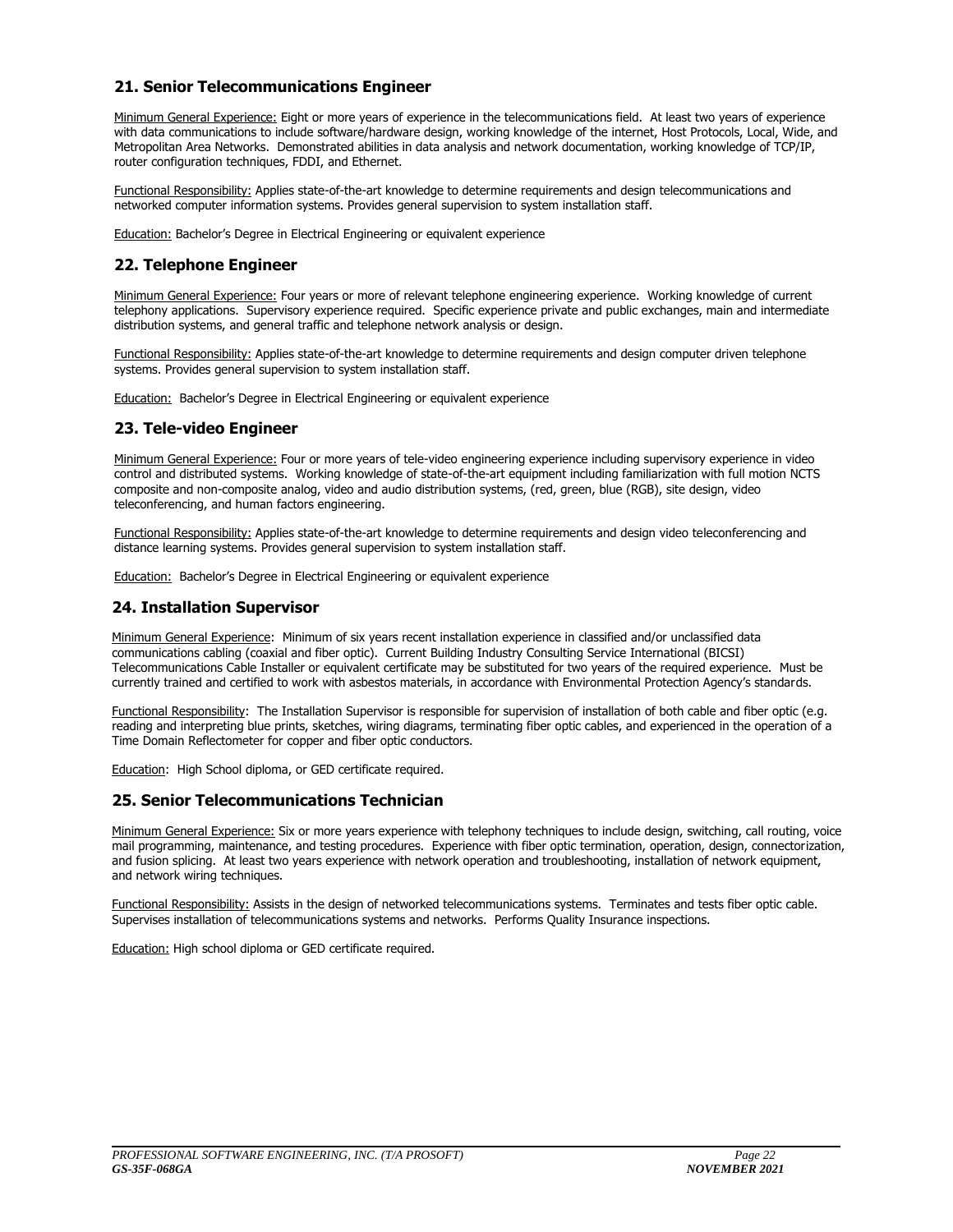### **21. Senior Telecommunications Engineer**

Minimum General Experience: Eight or more years of experience in the telecommunications field. At least two vears of experience with data communications to include software/hardware design, working knowledge of the internet, Host Protocols, Local, Wide, and Metropolitan Area Networks. Demonstrated abilities in data analysis and network documentation, working knowledge of TCP/IP, router configuration techniques, FDDI, and Ethernet.

Functional Responsibility: Applies state-of-the-art knowledge to determine requirements and design telecommunications and networked computer information systems. Provides general supervision to system installation staff.

Education: Bachelor's Degree in Electrical Engineering or equivalent experience

### **22. Telephone Engineer**

Minimum General Experience: Four years or more of relevant telephone engineering experience. Working knowledge of current telephony applications. Supervisory experience required. Specific experience private and public exchanges, main and intermediate distribution systems, and general traffic and telephone network analysis or design.

Functional Responsibility: Applies state-of-the-art knowledge to determine requirements and design computer driven telephone systems. Provides general supervision to system installation staff.

**Education:** Bachelor's Degree in Electrical Engineering or equivalent experience

### **23. Tele-video Engineer**

Minimum General Experience: Four or more years of tele-video engineering experience including supervisory experience in video control and distributed systems. Working knowledge of state-of-the-art equipment including familiarization with full motion NCTS composite and non-composite analog, video and audio distribution systems, (red, green, blue (RGB), site design, video teleconferencing, and human factors engineering.

Functional Responsibility: Applies state-of-the-art knowledge to determine requirements and design video teleconferencing and distance learning systems. Provides general supervision to system installation staff.

Education: Bachelor's Degree in Electrical Engineering or equivalent experience

### **24. Installation Supervisor**

Minimum General Experience: Minimum of six years recent installation experience in classified and/or unclassified data communications cabling (coaxial and fiber optic). Current Building Industry Consulting Service International (BICSI) Telecommunications Cable Installer or equivalent certificate may be substituted for two years of the required experience. Must be currently trained and certified to work with asbestos materials, in accordance with Environmental Protection Agency's standards.

Functional Responsibility: The Installation Supervisor is responsible for supervision of installation of both cable and fiber optic (e.g. reading and interpreting blue prints, sketches, wiring diagrams, terminating fiber optic cables, and experienced in the operation of a Time Domain Reflectometer for copper and fiber optic conductors.

Education: High School diploma, or GED certificate required.

### **25. Senior Telecommunications Technician**

Minimum General Experience: Six or more years experience with telephony techniques to include design, switching, call routing, voice mail programming, maintenance, and testing procedures. Experience with fiber optic termination, operation, design, connectorization, and fusion splicing. At least two years experience with network operation and troubleshooting, installation of network equipment, and network wiring techniques.

Functional Responsibility: Assists in the design of networked telecommunications systems. Terminates and tests fiber optic cable. Supervises installation of telecommunications systems and networks. Performs Quality Insurance inspections.

Education: High school diploma or GED certificate required.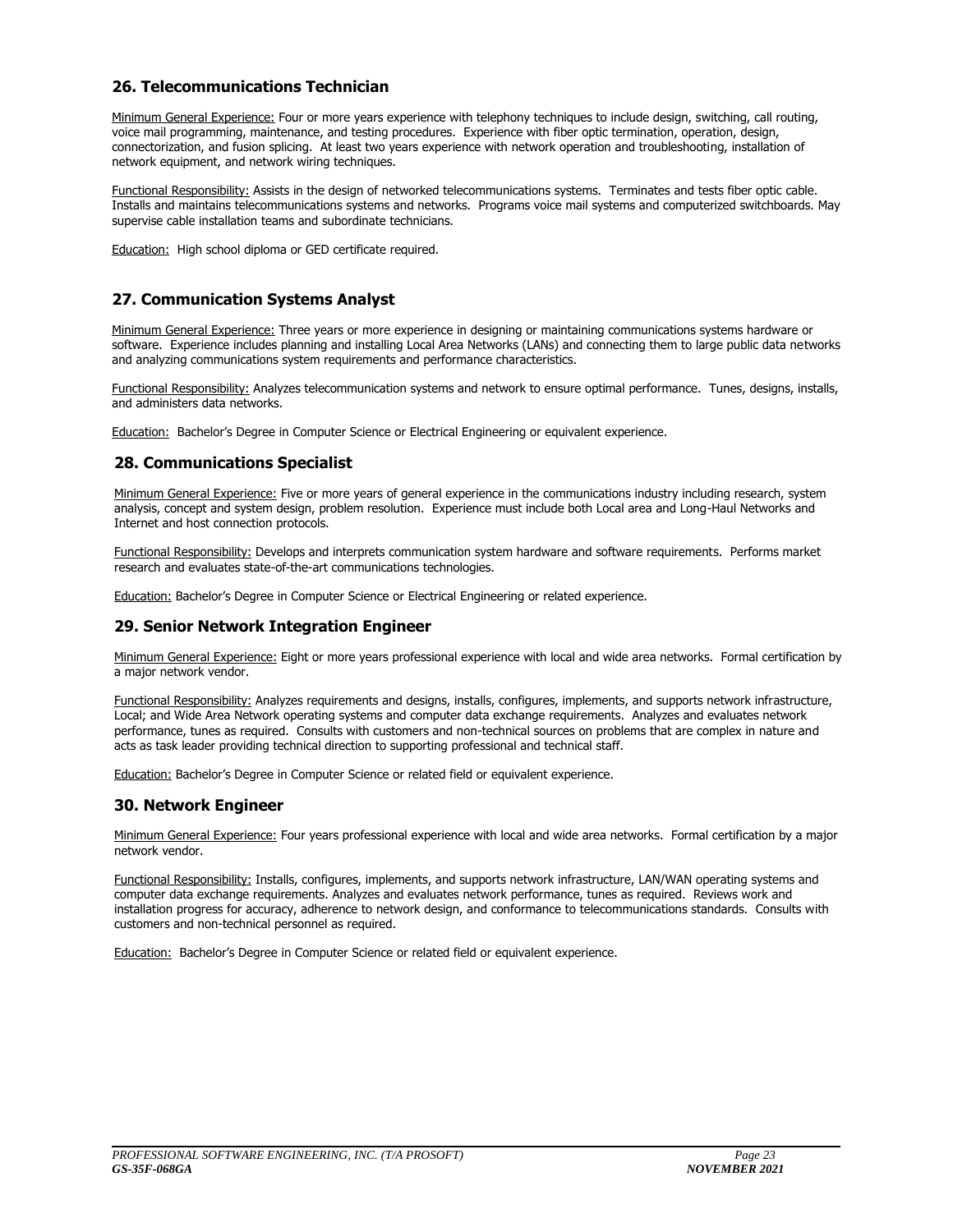### **26. Telecommunications Technician**

Minimum General Experience: Four or more years experience with telephony techniques to include design, switching, call routing, voice mail programming, maintenance, and testing procedures. Experience with fiber optic termination, operation, design, connectorization, and fusion splicing. At least two years experience with network operation and troubleshooting, installation of network equipment, and network wiring techniques.

Functional Responsibility: Assists in the design of networked telecommunications systems. Terminates and tests fiber optic cable. Installs and maintains telecommunications systems and networks. Programs voice mail systems and computerized switchboards. May supervise cable installation teams and subordinate technicians.

Education: High school diploma or GED certificate required.

### **27. Communication Systems Analyst**

Minimum General Experience: Three years or more experience in designing or maintaining communications systems hardware or software. Experience includes planning and installing Local Area Networks (LANs) and connecting them to large public data networks and analyzing communications system requirements and performance characteristics.

Functional Responsibility: Analyzes telecommunication systems and network to ensure optimal performance. Tunes, designs, installs, and administers data networks.

Education: Bachelor's Degree in Computer Science or Electrical Engineering or equivalent experience.

### **28. Communications Specialist**

Minimum General Experience: Five or more years of general experience in the communications industry including research, system analysis, concept and system design, problem resolution. Experience must include both Local area and Long-Haul Networks and Internet and host connection protocols.

Functional Responsibility: Develops and interprets communication system hardware and software requirements. Performs market research and evaluates state-of-the-art communications technologies.

Education: Bachelor's Degree in Computer Science or Electrical Engineering or related experience.

### **29. Senior Network Integration Engineer**

Minimum General Experience: Eight or more years professional experience with local and wide area networks. Formal certification by a major network vendor.

Functional Responsibility: Analyzes requirements and designs, installs, configures, implements, and supports network infrastructure, Local; and Wide Area Network operating systems and computer data exchange requirements. Analyzes and evaluates network performance, tunes as required. Consults with customers and non-technical sources on problems that are complex in nature and acts as task leader providing technical direction to supporting professional and technical staff.

Education: Bachelor's Degree in Computer Science or related field or equivalent experience.

### **30. Network Engineer**

Minimum General Experience: Four years professional experience with local and wide area networks. Formal certification by a major network vendor.

Functional Responsibility: Installs, configures, implements, and supports network infrastructure, LAN/WAN operating systems and computer data exchange requirements. Analyzes and evaluates network performance, tunes as required. Reviews work and installation progress for accuracy, adherence to network design, and conformance to telecommunications standards. Consults with customers and non-technical personnel as required.

Education: Bachelor's Degree in Computer Science or related field or equivalent experience.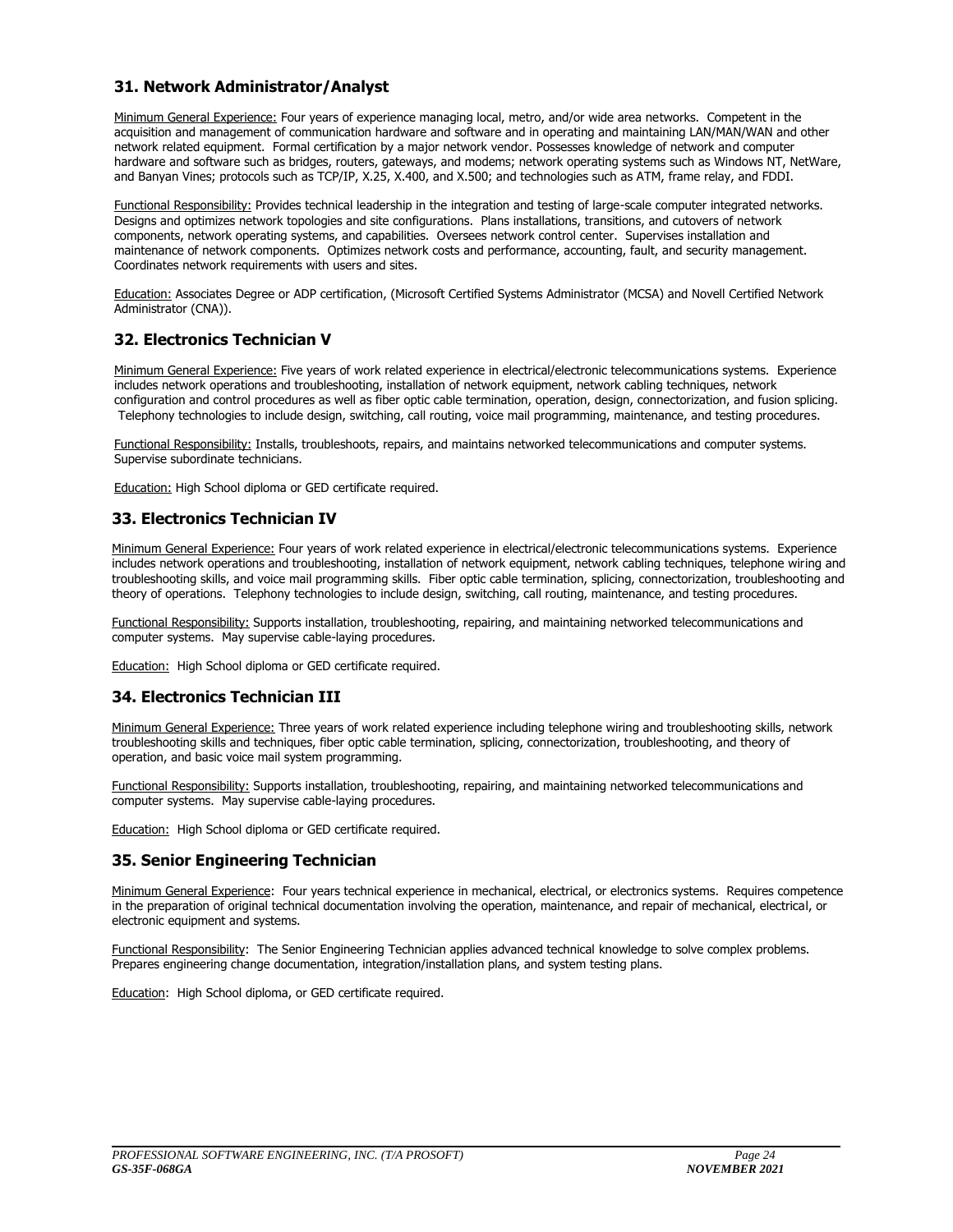### **31. Network Administrator/Analyst**

Minimum General Experience: Four years of experience managing local, metro, and/or wide area networks. Competent in the acquisition and management of communication hardware and software and in operating and maintaining LAN/MAN/WAN and other network related equipment. Formal certification by a major network vendor. Possesses knowledge of network and computer hardware and software such as bridges, routers, gateways, and modems; network operating systems such as Windows NT, NetWare, and Banyan Vines; protocols such as TCP/IP, X.25, X.400, and X.500; and technologies such as ATM, frame relay, and FDDI.

Functional Responsibility: Provides technical leadership in the integration and testing of large-scale computer integrated networks. Designs and optimizes network topologies and site configurations. Plans installations, transitions, and cutovers of network components, network operating systems, and capabilities. Oversees network control center. Supervises installation and maintenance of network components. Optimizes network costs and performance, accounting, fault, and security management. Coordinates network requirements with users and sites.

Education: Associates Degree or ADP certification, (Microsoft Certified Systems Administrator (MCSA) and Novell Certified Network Administrator (CNA)).

### **32. Electronics Technician V**

Minimum General Experience: Five years of work related experience in electrical/electronic telecommunications systems. Experience includes network operations and troubleshooting, installation of network equipment, network cabling techniques, network configuration and control procedures as well as fiber optic cable termination, operation, design, connectorization, and fusion splicing. Telephony technologies to include design, switching, call routing, voice mail programming, maintenance, and testing procedures.

Functional Responsibility: Installs, troubleshoots, repairs, and maintains networked telecommunications and computer systems. Supervise subordinate technicians.

Education: High School diploma or GED certificate required.

### **33. Electronics Technician IV**

Minimum General Experience: Four years of work related experience in electrical/electronic telecommunications systems. Experience includes network operations and troubleshooting, installation of network equipment, network cabling techniques, telephone wiring and troubleshooting skills, and voice mail programming skills. Fiber optic cable termination, splicing, connectorization, troubleshooting and theory of operations. Telephony technologies to include design, switching, call routing, maintenance, and testing procedures.

Functional Responsibility: Supports installation, troubleshooting, repairing, and maintaining networked telecommunications and computer systems. May supervise cable-laying procedures.

Education: High School diploma or GED certificate required.

### **34. Electronics Technician III**

Minimum General Experience: Three years of work related experience including telephone wiring and troubleshooting skills, network troubleshooting skills and techniques, fiber optic cable termination, splicing, connectorization, troubleshooting, and theory of operation, and basic voice mail system programming.

Functional Responsibility: Supports installation, troubleshooting, repairing, and maintaining networked telecommunications and computer systems. May supervise cable-laying procedures.

Education: High School diploma or GED certificate required.

### **35. Senior Engineering Technician**

Minimum General Experience: Four years technical experience in mechanical, electrical, or electronics systems. Requires competence in the preparation of original technical documentation involving the operation, maintenance, and repair of mechanical, electrical, or electronic equipment and systems.

Functional Responsibility: The Senior Engineering Technician applies advanced technical knowledge to solve complex problems. Prepares engineering change documentation, integration/installation plans, and system testing plans.

Education: High School diploma, or GED certificate required.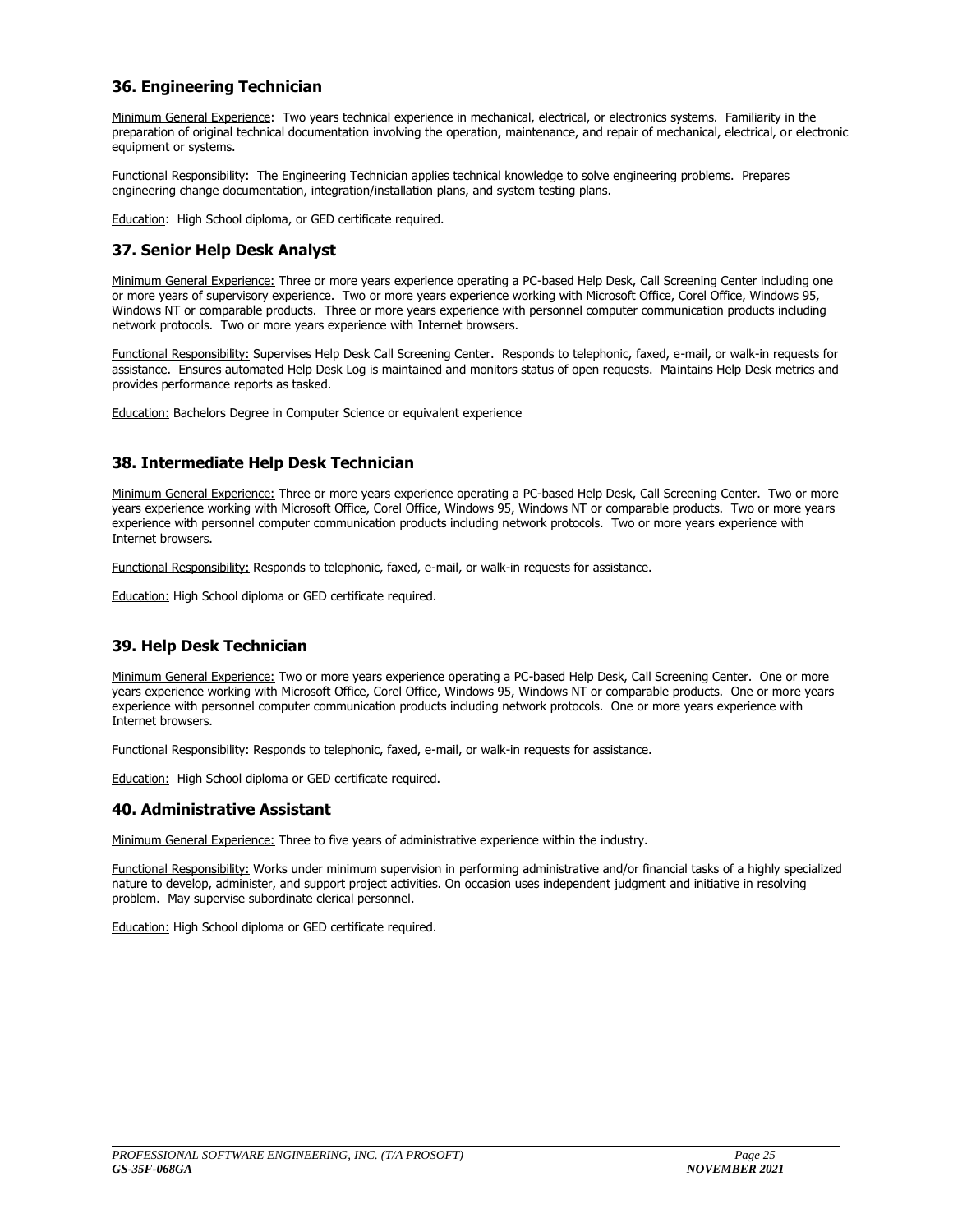### **36. Engineering Technician**

Minimum General Experience: Two years technical experience in mechanical, electrical, or electronics systems. Familiarity in the preparation of original technical documentation involving the operation, maintenance, and repair of mechanical, electrical, or electronic equipment or systems.

Functional Responsibility: The Engineering Technician applies technical knowledge to solve engineering problems. Prepares engineering change documentation, integration/installation plans, and system testing plans.

Education: High School diploma, or GED certificate required.

### **37. Senior Help Desk Analyst**

Minimum General Experience: Three or more years experience operating a PC-based Help Desk, Call Screening Center including one or more years of supervisory experience. Two or more years experience working with Microsoft Office, Corel Office, Windows 95, Windows NT or comparable products. Three or more years experience with personnel computer communication products including network protocols. Two or more years experience with Internet browsers.

Functional Responsibility: Supervises Help Desk Call Screening Center. Responds to telephonic, faxed, e-mail, or walk-in requests for assistance. Ensures automated Help Desk Log is maintained and monitors status of open requests. Maintains Help Desk metrics and provides performance reports as tasked.

Education: Bachelors Degree in Computer Science or equivalent experience

### **38. Intermediate Help Desk Technician**

Minimum General Experience: Three or more years experience operating a PC-based Help Desk, Call Screening Center. Two or more years experience working with Microsoft Office, Corel Office, Windows 95, Windows NT or comparable products. Two or more years experience with personnel computer communication products including network protocols. Two or more years experience with Internet browsers.

Functional Responsibility: Responds to telephonic, faxed, e-mail, or walk-in requests for assistance.

Education: High School diploma or GED certificate required.

### **39. Help Desk Technician**

Minimum General Experience: Two or more years experience operating a PC-based Help Desk, Call Screening Center. One or more years experience working with Microsoft Office, Corel Office, Windows 95, Windows NT or comparable products. One or more years experience with personnel computer communication products including network protocols. One or more years experience with Internet browsers.

Functional Responsibility: Responds to telephonic, faxed, e-mail, or walk-in requests for assistance.

Education: High School diploma or GED certificate required.

### **40. Administrative Assistant**

Minimum General Experience: Three to five years of administrative experience within the industry.

Functional Responsibility: Works under minimum supervision in performing administrative and/or financial tasks of a highly specialized nature to develop, administer, and support project activities. On occasion uses independent judgment and initiative in resolving problem. May supervise subordinate clerical personnel.

Education: High School diploma or GED certificate required.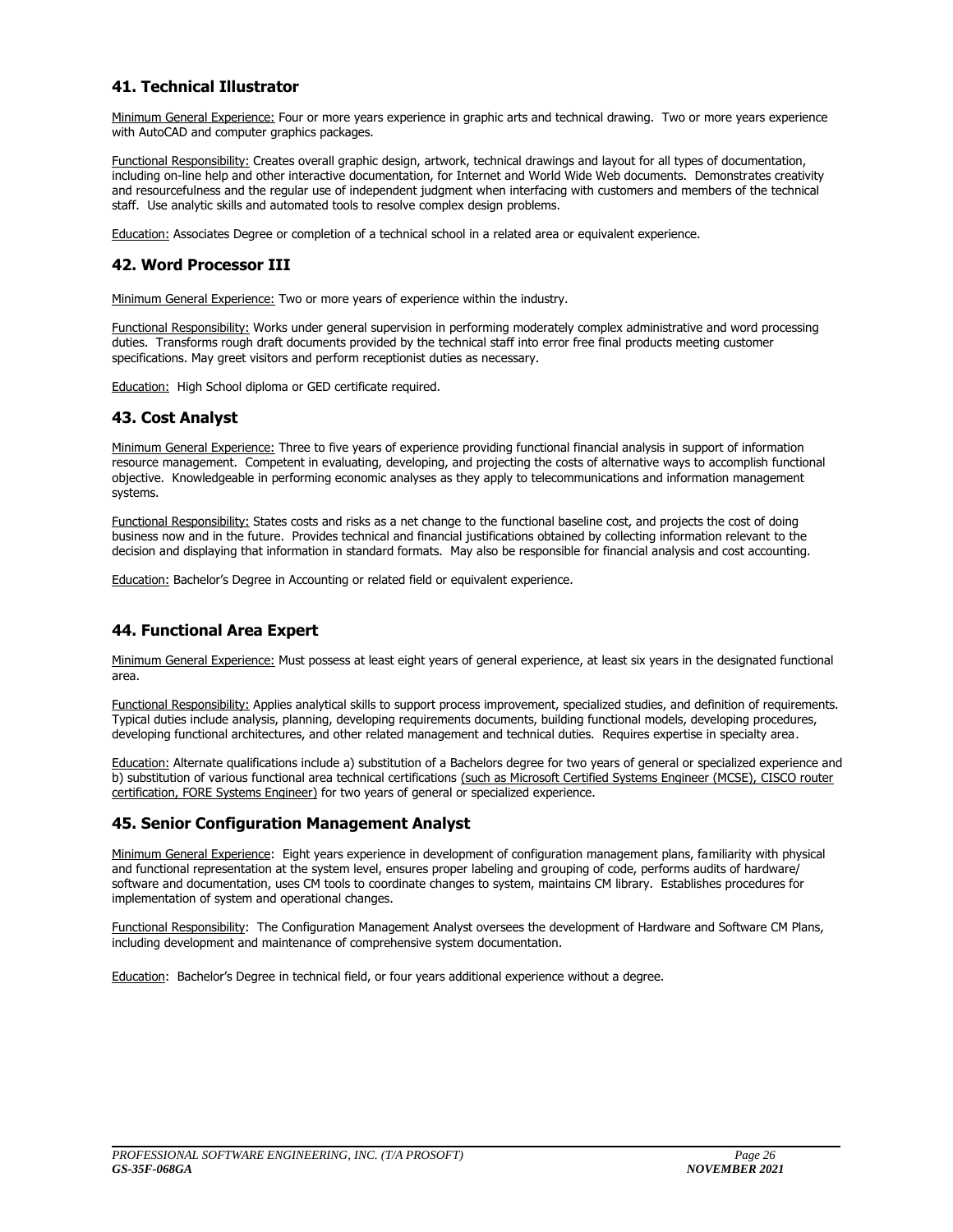### **41. Technical Illustrator**

Minimum General Experience: Four or more years experience in graphic arts and technical drawing. Two or more years experience with AutoCAD and computer graphics packages.

Functional Responsibility: Creates overall graphic design, artwork, technical drawings and layout for all types of documentation, including on-line help and other interactive documentation, for Internet and World Wide Web documents. Demonstrates creativity and resourcefulness and the regular use of independent judgment when interfacing with customers and members of the technical staff. Use analytic skills and automated tools to resolve complex design problems.

Education: Associates Degree or completion of a technical school in a related area or equivalent experience.

### **42. Word Processor III**

Minimum General Experience: Two or more years of experience within the industry.

Functional Responsibility: Works under general supervision in performing moderately complex administrative and word processing duties. Transforms rough draft documents provided by the technical staff into error free final products meeting customer specifications. May greet visitors and perform receptionist duties as necessary.

Education: High School diploma or GED certificate required.

### **43. Cost Analyst**

Minimum General Experience: Three to five years of experience providing functional financial analysis in support of information resource management. Competent in evaluating, developing, and projecting the costs of alternative ways to accomplish functional objective. Knowledgeable in performing economic analyses as they apply to telecommunications and information management systems.

Functional Responsibility: States costs and risks as a net change to the functional baseline cost, and projects the cost of doing business now and in the future. Provides technical and financial justifications obtained by collecting information relevant to the decision and displaying that information in standard formats. May also be responsible for financial analysis and cost accounting.

Education: Bachelor's Degree in Accounting or related field or equivalent experience.

### **44. Functional Area Expert**

Minimum General Experience: Must possess at least eight years of general experience, at least six years in the designated functional area.

Functional Responsibility: Applies analytical skills to support process improvement, specialized studies, and definition of requirements. Typical duties include analysis, planning, developing requirements documents, building functional models, developing procedures, developing functional architectures, and other related management and technical duties. Requires expertise in specialty area.

Education: Alternate qualifications include a) substitution of a Bachelors degree for two years of general or specialized experience and b) substitution of various functional area technical certifications (such as Microsoft Certified Systems Engineer (MCSE), CISCO router certification, FORE Systems Engineer) for two years of general or specialized experience.

### **45. Senior Configuration Management Analyst**

Minimum General Experience: Eight years experience in development of configuration management plans, familiarity with physical and functional representation at the system level, ensures proper labeling and grouping of code, performs audits of hardware/ software and documentation, uses CM tools to coordinate changes to system, maintains CM library. Establishes procedures for implementation of system and operational changes.

Functional Responsibility: The Configuration Management Analyst oversees the development of Hardware and Software CM Plans, including development and maintenance of comprehensive system documentation.

Education: Bachelor's Degree in technical field, or four years additional experience without a degree.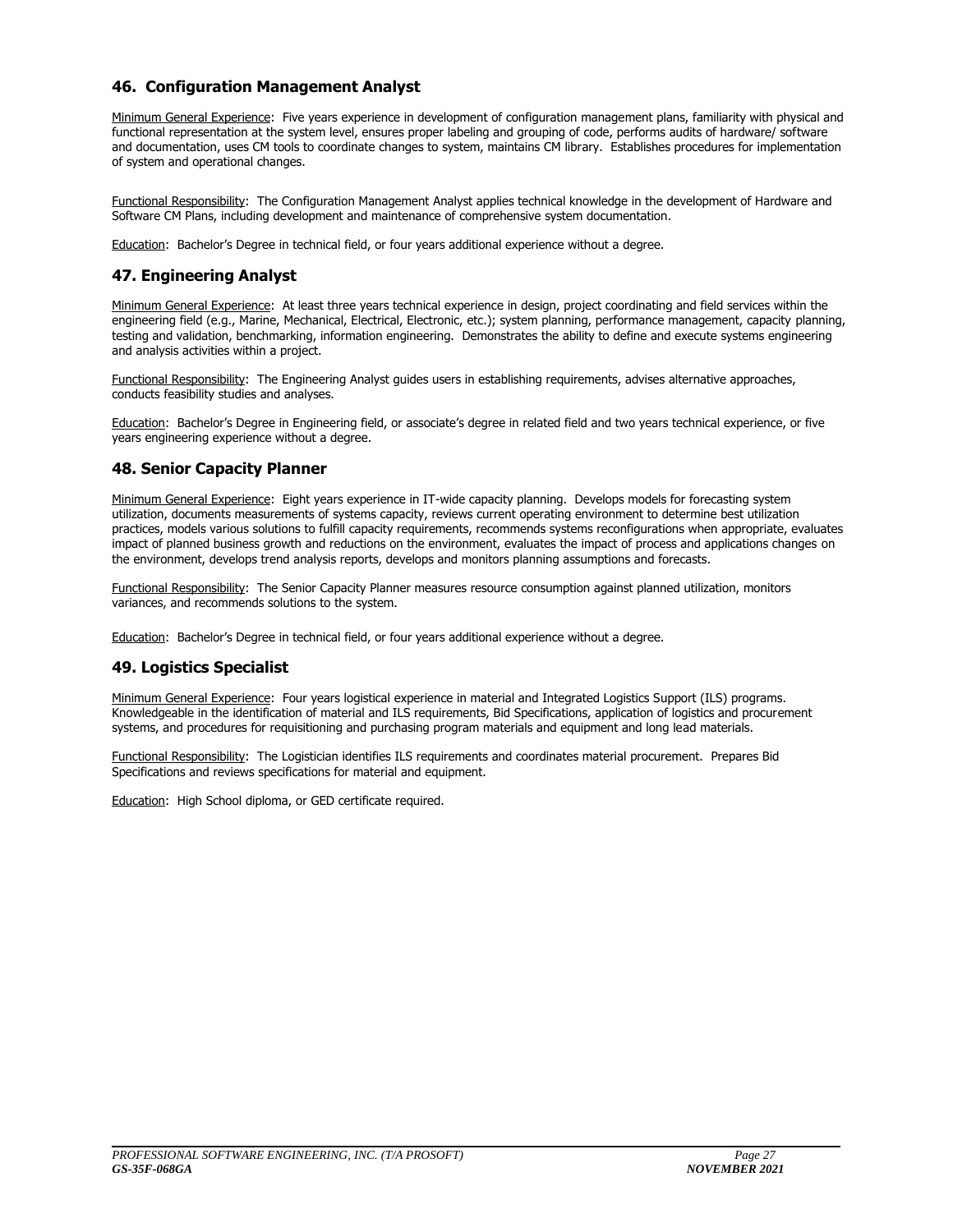### **46. Configuration Management Analyst**

Minimum General Experience: Five years experience in development of configuration management plans, familiarity with physical and functional representation at the system level, ensures proper labeling and grouping of code, performs audits of hardware/ software and documentation, uses CM tools to coordinate changes to system, maintains CM library. Establishes procedures for implementation of system and operational changes.

Functional Responsibility: The Configuration Management Analyst applies technical knowledge in the development of Hardware and Software CM Plans, including development and maintenance of comprehensive system documentation.

Education: Bachelor's Degree in technical field, or four years additional experience without a degree.

### **47. Engineering Analyst**

Minimum General Experience: At least three years technical experience in design, project coordinating and field services within the engineering field (e.g., Marine, Mechanical, Electrical, Electronic, etc.); system planning, performance management, capacity planning, testing and validation, benchmarking, information engineering. Demonstrates the ability to define and execute systems engineering and analysis activities within a project.

Functional Responsibility: The Engineering Analyst guides users in establishing requirements, advises alternative approaches, conducts feasibility studies and analyses.

Education: Bachelor's Degree in Engineering field, or associate's degree in related field and two years technical experience, or five years engineering experience without a degree.

### **48. Senior Capacity Planner**

Minimum General Experience: Eight years experience in IT-wide capacity planning. Develops models for forecasting system utilization, documents measurements of systems capacity, reviews current operating environment to determine best utilization practices, models various solutions to fulfill capacity requirements, recommends systems reconfigurations when appropriate, evaluates impact of planned business growth and reductions on the environment, evaluates the impact of process and applications changes on the environment, develops trend analysis reports, develops and monitors planning assumptions and forecasts.

Functional Responsibility: The Senior Capacity Planner measures resource consumption against planned utilization, monitors variances, and recommends solutions to the system.

Education: Bachelor's Degree in technical field, or four years additional experience without a degree.

### **49. Logistics Specialist**

Minimum General Experience: Four years logistical experience in material and Integrated Logistics Support (ILS) programs. Knowledgeable in the identification of material and ILS requirements, Bid Specifications, application of logistics and procurement systems, and procedures for requisitioning and purchasing program materials and equipment and long lead materials.

Functional Responsibility: The Logistician identifies ILS requirements and coordinates material procurement. Prepares Bid Specifications and reviews specifications for material and equipment.

Education: High School diploma, or GED certificate required.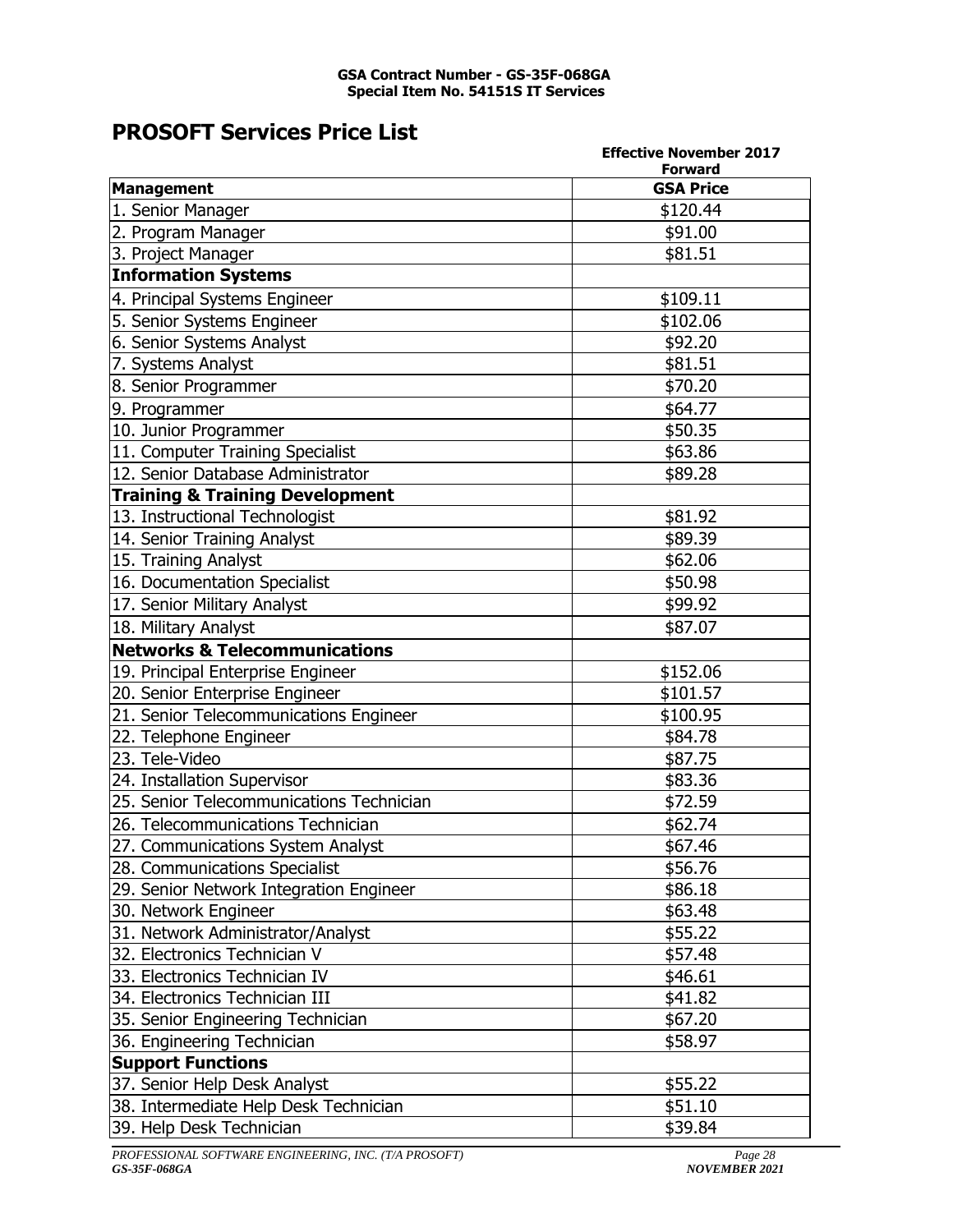### **GSA Contract Number - GS-35F-068GA Special Item No. 54151S IT Services**

### **PROSOFT Services Price List**

|                                            | <b>Effective November 2017</b>     |
|--------------------------------------------|------------------------------------|
| <b>Management</b>                          | <b>Forward</b><br><b>GSA Price</b> |
| 1. Senior Manager                          | \$120.44                           |
| 2. Program Manager                         | \$91.00                            |
| 3. Project Manager                         | \$81.51                            |
| <b>Information Systems</b>                 |                                    |
|                                            | \$109.11                           |
| 4. Principal Systems Engineer              |                                    |
| 5. Senior Systems Engineer                 | \$102.06                           |
| 6. Senior Systems Analyst                  | \$92.20                            |
| 7. Systems Analyst                         | \$81.51                            |
| 8. Senior Programmer                       | \$70.20                            |
| 9. Programmer                              | \$64.77                            |
| 10. Junior Programmer                      | \$50.35                            |
| 11. Computer Training Specialist           | \$63.86                            |
| 12. Senior Database Administrator          | \$89.28                            |
| <b>Training &amp; Training Development</b> |                                    |
| 13. Instructional Technologist             | \$81.92                            |
| 14. Senior Training Analyst                | \$89.39                            |
| 15. Training Analyst                       | \$62.06                            |
| 16. Documentation Specialist               | \$50.98                            |
| 17. Senior Military Analyst                | \$99.92                            |
| 18. Military Analyst                       | \$87.07                            |
| <b>Networks &amp; Telecommunications</b>   |                                    |
| 19. Principal Enterprise Engineer          | \$152.06                           |
| 20. Senior Enterprise Engineer             | \$101.57                           |
| 21. Senior Telecommunications Engineer     | \$100.95                           |
| 22. Telephone Engineer                     | \$84.78                            |
| 23. Tele-Video                             | \$87.75                            |
| 24. Installation Supervisor                | \$83.36                            |
| 25. Senior Telecommunications Technician   | \$72.59                            |
| 26. Telecommunications Technician          | \$62.74                            |
| 27. Communications System Analyst          | \$67.46                            |
| 28. Communications Specialist              | \$56.76                            |
| 29. Senior Network Integration Engineer    | \$86.18                            |
| 30. Network Engineer                       | \$63.48                            |
| 31. Network Administrator/Analyst          | \$55.22                            |
| 32. Electronics Technician V               | \$57.48                            |
| 33. Electronics Technician IV              | \$46.61                            |
| 34. Electronics Technician III             | \$41.82                            |
| 35. Senior Engineering Technician          | \$67.20                            |
| 36. Engineering Technician                 | \$58.97                            |
| <b>Support Functions</b>                   |                                    |
| 37. Senior Help Desk Analyst               | \$55.22                            |
| 38. Intermediate Help Desk Technician      | \$51.10                            |
| 39. Help Desk Technician                   | \$39.84                            |